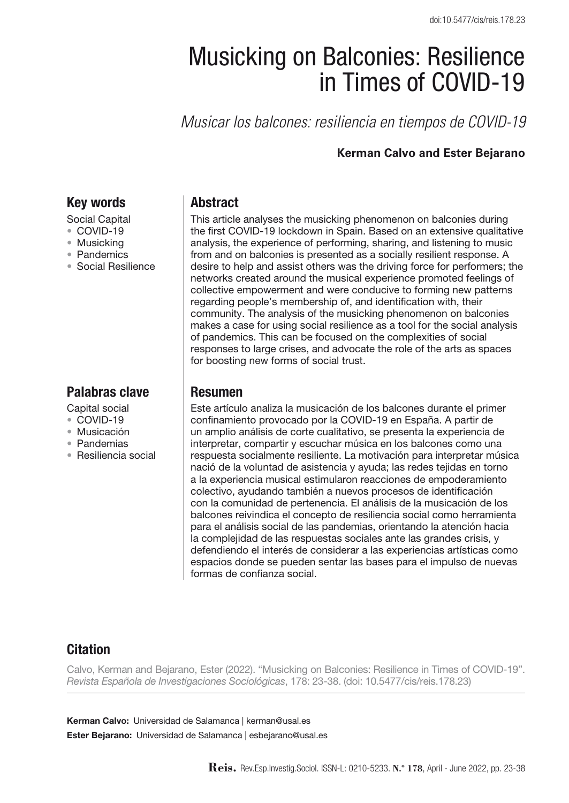# Musicking on Balconies: Resilience in Times of COVID-19

*Musicar los balcones: resiliencia en tiempos de COVID-19* 

#### **Kerman Calvo and Ester Bejarano**

## Key words

- Social Capital
- • COVID-19
- Musicking
- • Pandemics
- • Social Resilience

# Palabras clave

- Capital social
- COVID-19
- • Musicación
- • Pandemias
- • Resiliencia social

### **Abstract**

This article analyses the musicking phenomenon on balconies during the first COVID-19 lockdown in Spain. Based on an extensive qualitative analysis, the experience of performing, sharing, and listening to music from and on balconies is presented as a socially resilient response. A desire to help and assist others was the driving force for performers; the networks created around the musical experience promoted feelings of collective empowerment and were conducive to forming new patterns regarding people's membership of, and identification with, their community. The analysis of the musicking phenomenon on balconies makes a case for using social resilience as a tool for the social analysis of pandemics. This can be focused on the complexities of social responses to large crises, and advocate the role of the arts as spaces for boosting new forms of social trust.

#### Resumen

Este artículo analiza la musicación de los balcones durante el primer confinamiento provocado por la COVID-19 en España. A partir de un amplio análisis de corte cualitativo, se presenta la experiencia de interpretar, compartir y escuchar música en los balcones como una respuesta socialmente resiliente. La motivación para interpretar música nació de la voluntad de asistencia y ayuda; las redes tejidas en torno a la experiencia musical estimularon reacciones de empoderamiento colectivo, ayudando también a nuevos procesos de identificación con la comunidad de pertenencia. El análisis de la musicación de los balcones reivindica el concepto de resiliencia social como herramienta para el análisis social de las pandemias, orientando la atención hacia la complejidad de las respuestas sociales ante las grandes crisis, y defendiendo el interés de considerar a las experiencias artísticas como espacios donde se pueden sentar las bases para el impulso de nuevas formas de confianza social.

## **Citation**

Calvo, Kerman and Bejarano, Ester (2022). "Musicking on Balconies: Resilience in Times of COVID-19". *Revista Española de Investigaciones Sociológicas*, 178: 23-38. (doi: 10.5477/cis/reis.178.23)

Kerman Calvo: Universidad de Salamanca | kerman@usal.es Ester Bejarano: Universidad de Salamanca | esbejarano@usal.es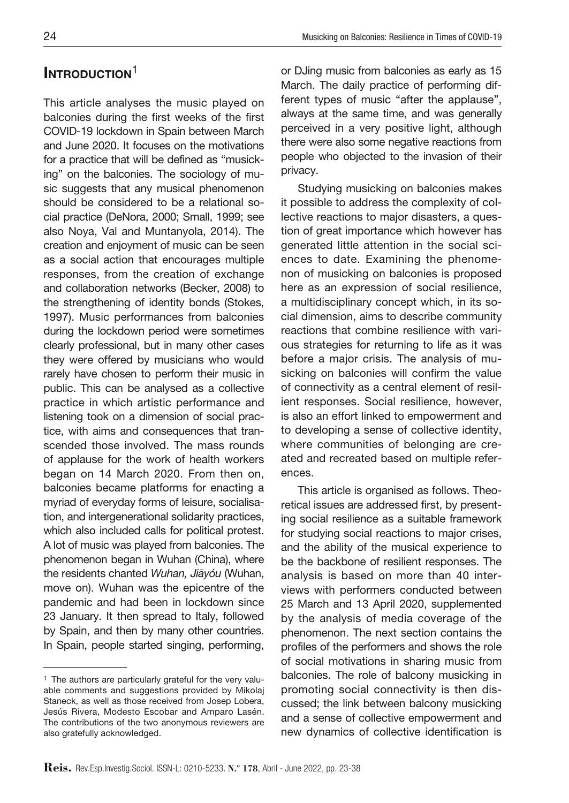# INTRODUCTION<sup>1</sup>

This article analyses the music played on balconies during the first weeks of the first COVID-19 lockdown in Spain between March and June 2020. It focuses on the motivations for a practice that will be defined as "musicking" on the balconies. The sociology of music suggests that any musical phenomenon should be considered to be a relational social practice (DeNora, 2000; Small, 1999; see also Noya, Val and Muntanyola, 2014). The creation and enjoyment of music can be seen as a social action that encourages multiple responses, from the creation of exchange and collaboration networks (Becker, 2008) to the strengthening of identity bonds (Stokes, 1997). Music performances from balconies during the lockdown period were sometimes clearly professional, but in many other cases they were offered by musicians who would rarely have chosen to perform their music in public. This can be analysed as a collective practice in which artistic performance and listening took on a dimension of social practice, with aims and consequences that transcended those involved. The mass rounds of applause for the work of health workers began on 14 March 2020. From then on, balconies became platforms for enacting a myriad of everyday forms of leisure, socialisation, and intergenerational solidarity practices, which also included calls for political protest. A lot of music was played from balconies. The phenomenon began in Wuhan (China), where the residents chanted Wuhan, Jiāyóu (Wuhan, move on). Wuhan was the epicentre of the pandemic and had been in lockdown since 23 January. It then spread to Italy, followed by Spain, and then by many other countries. In Spain, people started singing, performing,

<sup>1</sup> The authors are particularly grateful for the very valuable comments and suggestions provided by Mikolaj Staneck, as well as those received from Josep Lobera, Jesús Rivera, Modesto Escobar and Amparo Lasén. The contributions of the two anonymous reviewers are also gratefully acknowledged.

or DJing music from balconies as early as 15 March. The daily practice of performing different types of music "after the applause", always at the same time, and was generally perceived in a very positive light, although there were also some negative reactions from people who objected to the invasion of their privacy.

Studying musicking on balconies makes it possible to address the complexity of collective reactions to major disasters, a question of great importance which however has generated little attention in the social sciences to date. Examining the phenomenon of musicking on balconies is proposed here as an expression of social resilience, a multidisciplinary concept which, in its social dimension, aims to describe community reactions that combine resilience with various strategies for returning to life as it was before a major crisis. The analysis of musicking on balconies will confirm the value of connectivity as a central element of resilient responses. Social resilience, however, is also an effort linked to empowerment and to developing a sense of collective identity, where communities of belonging are created and recreated based on multiple references.

This article is organised as follows. Theoretical issues are addressed first, by presenting social resilience as a suitable framework for studying social reactions to major crises, and the ability of the musical experience to be the backbone of resilient responses. The analysis is based on more than 40 interviews with performers conducted between 25 March and 13 April 2020, supplemented by the analysis of media coverage of the phenomenon. The next section contains the profiles of the performers and shows the role of social motivations in sharing music from balconies. The role of balcony musicking in promoting social connectivity is then discussed; the link between balcony musicking and a sense of collective empowerment and new dynamics of collective identification is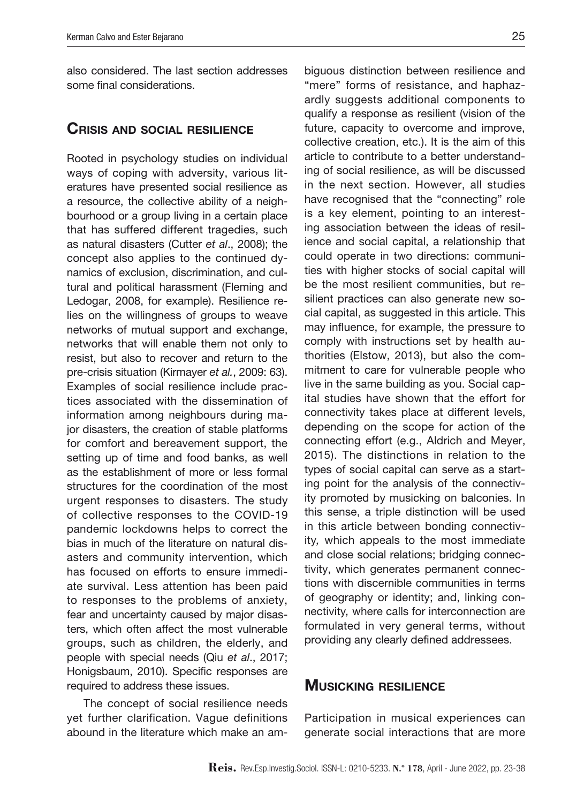also considered. The last section addresses some final considerations.

#### Crisis and social resilience

Rooted in psychology studies on individual ways of coping with adversity, various literatures have presented social resilience as a resource, the collective ability of a neighbourhood or a group living in a certain place that has suffered different tragedies, such as natural disasters (Cutter *et al*., 2008); the concept also applies to the continued dynamics of exclusion, discrimination, and cultural and political harassment (Fleming and Ledogar, 2008, for example). Resilience relies on the willingness of groups to weave networks of mutual support and exchange, networks that will enable them not only to resist, but also to recover and return to the pre-crisis situation (Kirmayer *et al.*, 2009: 63). Examples of social resilience include practices associated with the dissemination of information among neighbours during major disasters, the creation of stable platforms for comfort and bereavement support, the setting up of time and food banks, as well as the establishment of more or less formal structures for the coordination of the most urgent responses to disasters. The study of collective responses to the COVID-19 pandemic lockdowns helps to correct the bias in much of the literature on natural disasters and community intervention, which has focused on efforts to ensure immediate survival. Less attention has been paid to responses to the problems of anxiety, fear and uncertainty caused by major disasters, which often affect the most vulnerable groups, such as children, the elderly, and people with special needs (Qiu *et al*., 2017; Honigsbaum, 2010). Specific responses are required to address these issues.

The concept of social resilience needs yet further clarification. Vague definitions abound in the literature which make an am-

biguous distinction between resilience and "mere" forms of resistance, and haphazardly suggests additional components to qualify a response as resilient (vision of the future, capacity to overcome and improve, collective creation, etc.). It is the aim of this article to contribute to a better understanding of social resilience, as will be discussed in the next section. However, all studies have recognised that the "connecting" role is a key element, pointing to an interesting association between the ideas of resilience and social capital, a relationship that could operate in two directions: communities with higher stocks of social capital will be the most resilient communities, but resilient practices can also generate new social capital, as suggested in this article. This may influence, for example, the pressure to comply with instructions set by health authorities (Elstow, 2013), but also the commitment to care for vulnerable people who live in the same building as you. Social capital studies have shown that the effort for connectivity takes place at different levels, depending on the scope for action of the connecting effort (e.g., Aldrich and Meyer, 2015). The distinctions in relation to the types of social capital can serve as a starting point for the analysis of the connectivity promoted by musicking on balconies. In this sense, a triple distinction will be used in this article between bonding connectivity*,* which appeals to the most immediate and close social relations; bridging connectivity, which generates permanent connections with discernible communities in terms of geography or identity; and, linking connectivity*,* where calls for interconnection are formulated in very general terms, without providing any clearly defined addressees.

#### **MUSICKING RESILIENCE**

Participation in musical experiences can generate social interactions that are more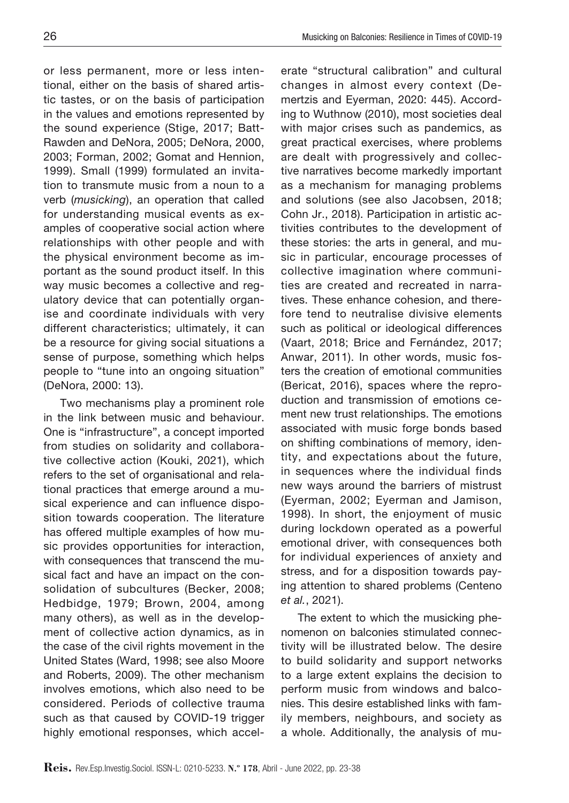or less permanent, more or less intentional, either on the basis of shared artistic tastes, or on the basis of participation in the values and emotions represented by the sound experience (Stige, 2017; Batt-Rawden and DeNora, 2005; DeNora, 2000, 2003; Forman, 2002; Gomat and Hennion, 1999). Small (1999) formulated an invitation to transmute music from a noun to a verb (*musicking*), an operation that called for understanding musical events as examples of cooperative social action where relationships with other people and with the physical environment become as important as the sound product itself. In this way music becomes a collective and regulatory device that can potentially organise and coordinate individuals with very different characteristics; ultimately, it can be a resource for giving social situations a sense of purpose, something which helps people to "tune into an ongoing situation" (DeNora, 2000: 13).

Two mechanisms play a prominent role in the link between music and behaviour. One is "infrastructure", a concept imported from studies on solidarity and collaborative collective action (Kouki, 2021), which refers to the set of organisational and relational practices that emerge around a musical experience and can influence disposition towards cooperation. The literature has offered multiple examples of how music provides opportunities for interaction, with consequences that transcend the musical fact and have an impact on the consolidation of subcultures (Becker, 2008; Hedbidge, 1979; Brown, 2004, among many others), as well as in the development of collective action dynamics, as in the case of the civil rights movement in the United States (Ward, 1998; see also Moore and Roberts, 2009). The other mechanism involves emotions, which also need to be considered. Periods of collective trauma such as that caused by COVID-19 trigger highly emotional responses, which accelerate "structural calibration" and cultural changes in almost every context (Demertzis and Eyerman, 2020: 445). According to Wuthnow (2010), most societies deal with major crises such as pandemics, as great practical exercises, where problems are dealt with progressively and collective narratives become markedly important as a mechanism for managing problems and solutions (see also Jacobsen, 2018; Cohn Jr., 2018). Participation in artistic activities contributes to the development of these stories: the arts in general, and music in particular, encourage processes of collective imagination where communities are created and recreated in narratives. These enhance cohesion, and therefore tend to neutralise divisive elements such as political or ideological differences (Vaart, 2018; Brice and Fernández, 2017; Anwar, 2011). In other words, music fosters the creation of emotional communities (Bericat, 2016), spaces where the reproduction and transmission of emotions cement new trust relationships. The emotions associated with music forge bonds based on shifting combinations of memory, identity, and expectations about the future, in sequences where the individual finds new ways around the barriers of mistrust (Eyerman, 2002; Eyerman and Jamison, 1998). In short, the enjoyment of music during lockdown operated as a powerful emotional driver, with consequences both for individual experiences of anxiety and stress, and for a disposition towards paying attention to shared problems (Centeno *et al.*, 2021).

The extent to which the musicking phenomenon on balconies stimulated connectivity will be illustrated below. The desire to build solidarity and support networks to a large extent explains the decision to perform music from windows and balconies. This desire established links with family members, neighbours, and society as a whole. Additionally, the analysis of mu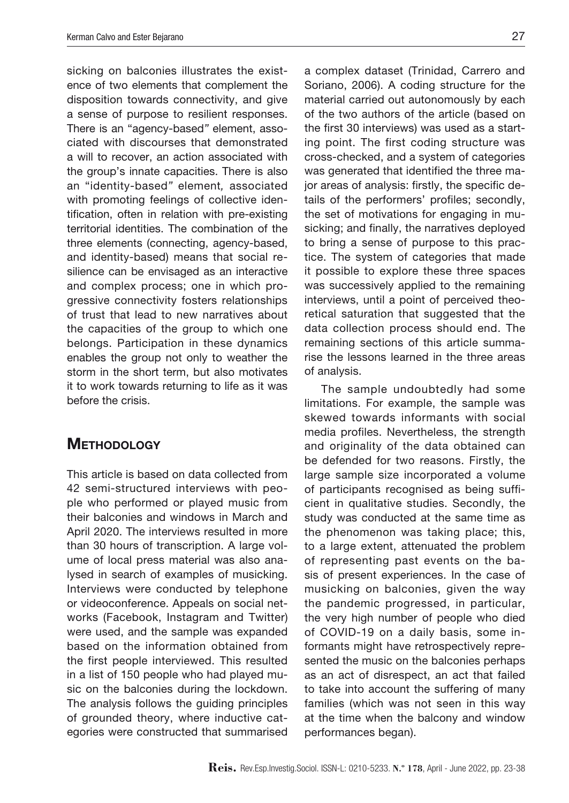sicking on balconies illustrates the existence of two elements that complement the disposition towards connectivity, and give a sense of purpose to resilient responses. There is an "agency-based*"* element, associated with discourses that demonstrated a will to recover, an action associated with the group's innate capacities. There is also an "identity-based*"* element*,* associated with promoting feelings of collective identification, often in relation with pre-existing territorial identities. The combination of the three elements (connecting, agency-based, and identity-based) means that social resilience can be envisaged as an interactive and complex process; one in which progressive connectivity fosters relationships of trust that lead to new narratives about the capacities of the group to which one belongs. Participation in these dynamics enables the group not only to weather the storm in the short term, but also motivates it to work towards returning to life as it was before the crisis.

# **METHODOLOGY**

This article is based on data collected from 42 semi-structured interviews with people who performed or played music from their balconies and windows in March and April 2020. The interviews resulted in more than 30 hours of transcription. A large volume of local press material was also analysed in search of examples of musicking. Interviews were conducted by telephone or videoconference. Appeals on social networks (Facebook, Instagram and Twitter) were used, and the sample was expanded based on the information obtained from the first people interviewed. This resulted in a list of 150 people who had played music on the balconies during the lockdown. The analysis follows the guiding principles of grounded theory, where inductive categories were constructed that summarised

a complex dataset (Trinidad, Carrero and Soriano, 2006). A coding structure for the material carried out autonomously by each of the two authors of the article (based on the first 30 interviews) was used as a starting point. The first coding structure was cross-checked, and a system of categories was generated that identified the three major areas of analysis: firstly, the specific details of the performers' profiles; secondly, the set of motivations for engaging in musicking; and finally, the narratives deployed to bring a sense of purpose to this practice. The system of categories that made it possible to explore these three spaces was successively applied to the remaining interviews, until a point of perceived theoretical saturation that suggested that the data collection process should end. The remaining sections of this article summarise the lessons learned in the three areas of analysis.

The sample undoubtedly had some limitations. For example, the sample was skewed towards informants with social media profiles. Nevertheless, the strength and originality of the data obtained can be defended for two reasons. Firstly, the large sample size incorporated a volume of participants recognised as being sufficient in qualitative studies. Secondly, the study was conducted at the same time as the phenomenon was taking place; this, to a large extent, attenuated the problem of representing past events on the basis of present experiences. In the case of musicking on balconies, given the way the pandemic progressed, in particular, the very high number of people who died of COVID-19 on a daily basis, some informants might have retrospectively represented the music on the balconies perhaps as an act of disrespect, an act that failed to take into account the suffering of many families (which was not seen in this way at the time when the balcony and window performances began).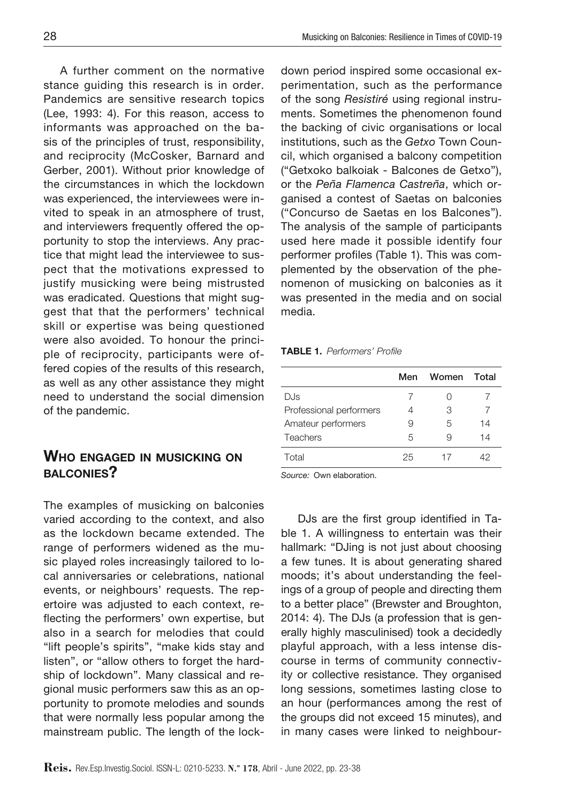A further comment on the normative stance guiding this research is in order. Pandemics are sensitive research topics (Lee, 1993: 4). For this reason, access to informants was approached on the basis of the principles of trust, responsibility, and reciprocity (McCosker, Barnard and Gerber, 2001). Without prior knowledge of the circumstances in which the lockdown was experienced, the interviewees were invited to speak in an atmosphere of trust, and interviewers frequently offered the opportunity to stop the interviews. Any practice that might lead the interviewee to suspect that the motivations expressed to justify musicking were being mistrusted was eradicated. Questions that might suggest that that the performers' technical skill or expertise was being questioned were also avoided. To honour the principle of reciprocity, participants were offered copies of the results of this research, as well as any other assistance they might need to understand the social dimension of the pandemic.

# Who engaged in musicking on balconies?

The examples of musicking on balconies varied according to the context, and also as the lockdown became extended. The range of performers widened as the music played roles increasingly tailored to local anniversaries or celebrations, national events, or neighbours' requests. The repertoire was adjusted to each context, reflecting the performers' own expertise, but also in a search for melodies that could "lift people's spirits", "make kids stay and listen", or "allow others to forget the hardship of lockdown". Many classical and regional music performers saw this as an opportunity to promote melodies and sounds that were normally less popular among the mainstream public. The length of the lockdown period inspired some occasional experimentation, such as the performance of the song *Resistiré* using regional instruments. Sometimes the phenomenon found the backing of civic organisations or local institutions, such as the *Getxo* Town Council, which organised a balcony competition ("Getxoko balkoiak - Balcones de Getxo"), or the *Peña Flamenca Castreña*, which organised a contest of Saetas on balconies ("Concurso de Saetas en los Balcones"). The analysis of the sample of participants used here made it possible identify four performer profiles (Table 1). This was complemented by the observation of the phenomenon of musicking on balconies as it was presented in the media and on social media.

Table 1. *Performers' Profile*

|                         | Men | Women | Total |
|-------------------------|-----|-------|-------|
| DJs                     |     |       |       |
| Professional performers | 4   | З     |       |
| Amateur performers      | 9   | 5     | 14    |
| Teachers                | 5   | 9     | 14    |
| Total                   | 25  | 17    | 42    |
|                         |     |       |       |

*Source:* Own elaboration.

DJs are the first group identified in Table 1. A willingness to entertain was their hallmark: "DJing is not just about choosing a few tunes. It is about generating shared moods; it's about understanding the feelings of a group of people and directing them to a better place" (Brewster and Broughton, 2014: 4). The DJs (a profession that is generally highly masculinised) took a decidedly playful approach, with a less intense discourse in terms of community connectivity or collective resistance. They organised long sessions, sometimes lasting close to an hour (performances among the rest of the groups did not exceed 15 minutes), and in many cases were linked to neighbour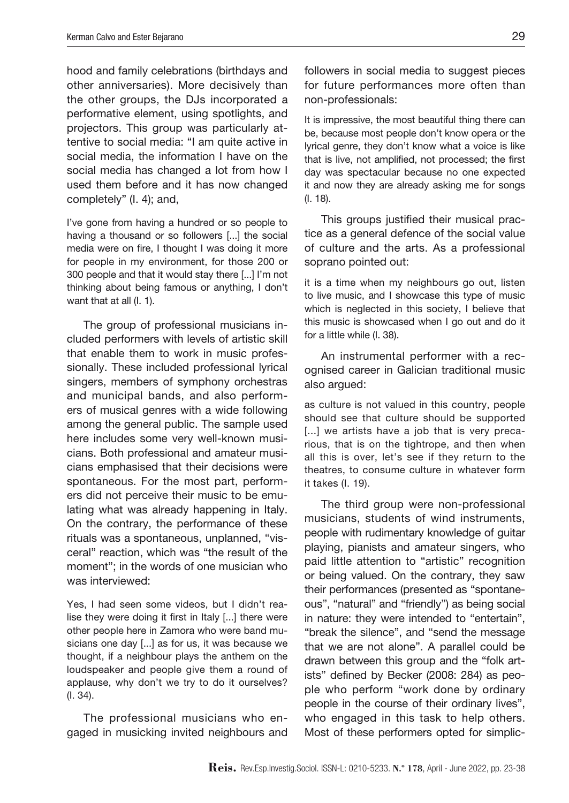hood and family celebrations (birthdays and other anniversaries). More decisively than the other groups, the DJs incorporated a performative element, using spotlights, and projectors. This group was particularly attentive to social media: "I am quite active in social media, the information I have on the social media has changed a lot from how I used them before and it has now changed completely" (I. 4); and,

I've gone from having a hundred or so people to having a thousand or so followers [...] the social media were on fire, I thought I was doing it more for people in my environment, for those 200 or 300 people and that it would stay there [...] I'm not thinking about being famous or anything, I don't want that at all (I. 1).

The group of professional musicians included performers with levels of artistic skill that enable them to work in music professionally. These included professional lyrical singers, members of symphony orchestras and municipal bands, and also performers of musical genres with a wide following among the general public. The sample used here includes some very well-known musicians. Both professional and amateur musicians emphasised that their decisions were spontaneous. For the most part, performers did not perceive their music to be emulating what was already happening in Italy. On the contrary, the performance of these rituals was a spontaneous, unplanned, "visceral" reaction, which was "the result of the moment"; in the words of one musician who was interviewed:

Yes, I had seen some videos, but I didn't realise they were doing it first in Italy [...] there were other people here in Zamora who were band musicians one day [...] as for us, it was because we thought, if a neighbour plays the anthem on the loudspeaker and people give them a round of applause, why don't we try to do it ourselves? (I. 34).

The professional musicians who engaged in musicking invited neighbours and

followers in social media to suggest pieces for future performances more often than non-professionals:

It is impressive, the most beautiful thing there can be, because most people don't know opera or the lyrical genre, they don't know what a voice is like that is live, not amplified, not processed; the first day was spectacular because no one expected it and now they are already asking me for songs (I. 18).

This groups justified their musical practice as a general defence of the social value of culture and the arts. As a professional soprano pointed out:

it is a time when my neighbours go out, listen to live music, and I showcase this type of music which is neglected in this society, I believe that this music is showcased when I go out and do it for a little while (I. 38).

An instrumental performer with a recognised career in Galician traditional music also argued:

as culture is not valued in this country, people should see that culture should be supported [...] we artists have a job that is very precarious, that is on the tightrope, and then when all this is over, let's see if they return to the theatres, to consume culture in whatever form it takes (I. 19).

The third group were non-professional musicians, students of wind instruments, people with rudimentary knowledge of guitar playing, pianists and amateur singers, who paid little attention to "artistic" recognition or being valued. On the contrary, they saw their performances (presented as "spontaneous", "natural" and "friendly") as being social in nature: they were intended to "entertain", "break the silence", and "send the message that we are not alone". A parallel could be drawn between this group and the "folk artists" defined by Becker (2008: 284) as people who perform "work done by ordinary people in the course of their ordinary lives", who engaged in this task to help others. Most of these performers opted for simplic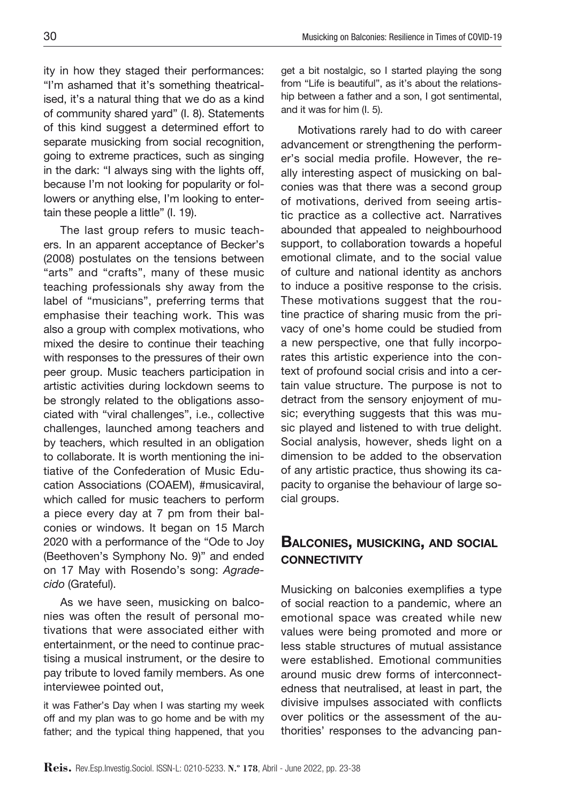ity in how they staged their performances: "I'm ashamed that it's something theatricalised, it's a natural thing that we do as a kind of community shared yard" (I. 8). Statements of this kind suggest a determined effort to separate musicking from social recognition, going to extreme practices, such as singing in the dark: "I always sing with the lights off, because I'm not looking for popularity or followers or anything else, I'm looking to entertain these people a little" (I. 19).

The last group refers to music teachers. In an apparent acceptance of Becker's (2008) postulates on the tensions between "arts" and "crafts", many of these music teaching professionals shy away from the label of "musicians", preferring terms that emphasise their teaching work. This was also a group with complex motivations, who mixed the desire to continue their teaching with responses to the pressures of their own peer group. Music teachers participation in artistic activities during lockdown seems to be strongly related to the obligations associated with "viral challenges", i.e., collective challenges, launched among teachers and by teachers, which resulted in an obligation to collaborate. It is worth mentioning the initiative of the Confederation of Music Education Associations (COAEM), #musicaviral, which called for music teachers to perform a piece every day at 7 pm from their balconies or windows. It began on 15 March 2020 with a performance of the "Ode to Joy (Beethoven's Symphony No. 9)" and ended on 17 May with Rosendo's song: *Agradecido* (Grateful).

As we have seen, musicking on balconies was often the result of personal motivations that were associated either with entertainment, or the need to continue practising a musical instrument, or the desire to pay tribute to loved family members. As one interviewee pointed out,

it was Father's Day when I was starting my week off and my plan was to go home and be with my father; and the typical thing happened, that you get a bit nostalgic, so I started playing the song from "Life is beautiful", as it's about the relationship between a father and a son, I got sentimental, and it was for him (I. 5).

Motivations rarely had to do with career advancement or strengthening the performer's social media profile. However, the really interesting aspect of musicking on balconies was that there was a second group of motivations, derived from seeing artistic practice as a collective act. Narratives abounded that appealed to neighbourhood support, to collaboration towards a hopeful emotional climate, and to the social value of culture and national identity as anchors to induce a positive response to the crisis. These motivations suggest that the routine practice of sharing music from the privacy of one's home could be studied from a new perspective, one that fully incorporates this artistic experience into the context of profound social crisis and into a certain value structure. The purpose is not to detract from the sensory enjoyment of music; everything suggests that this was music played and listened to with true delight. Social analysis, however, sheds light on a dimension to be added to the observation of any artistic practice, thus showing its capacity to organise the behaviour of large social groups.

## Balconies, musicking, and social **CONNECTIVITY**

Musicking on balconies exemplifies a type of social reaction to a pandemic, where an emotional space was created while new values were being promoted and more or less stable structures of mutual assistance were established. Emotional communities around music drew forms of interconnectedness that neutralised, at least in part, the divisive impulses associated with conflicts over politics or the assessment of the authorities' responses to the advancing pan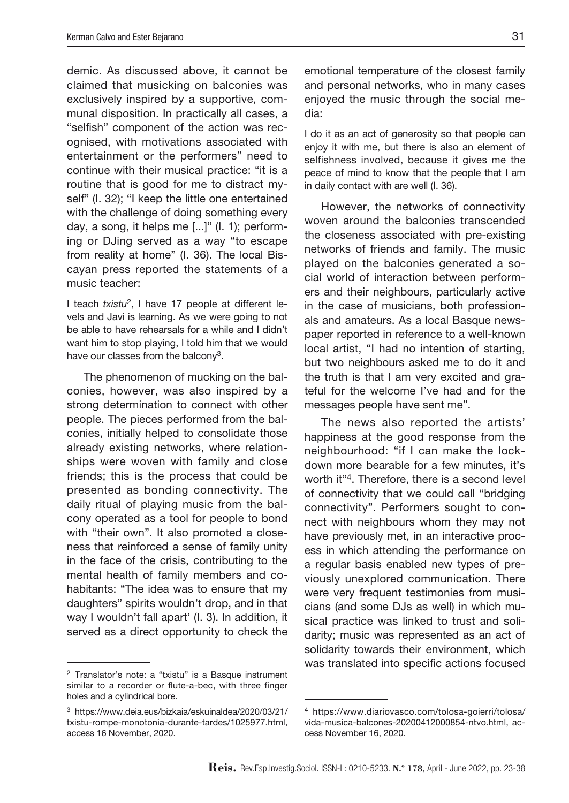demic. As discussed above, it cannot be claimed that musicking on balconies was exclusively inspired by a supportive, communal disposition. In practically all cases, a "selfish" component of the action was recognised, with motivations associated with entertainment or the performers" need to continue with their musical practice: "it is a routine that is good for me to distract myself" (I. 32); "I keep the little one entertained with the challenge of doing something every day, a song, it helps me [...]" (I. 1); performing or DJing served as a way "to escape from reality at home" (I. 36). The local Biscayan press reported the statements of a music teacher:

I teach *txistu*2, I have 17 people at different levels and Javi is learning. As we were going to not be able to have rehearsals for a while and I didn't want him to stop playing, I told him that we would have our classes from the balcony<sup>3</sup>.

The phenomenon of mucking on the balconies, however, was also inspired by a strong determination to connect with other people. The pieces performed from the balconies, initially helped to consolidate those already existing networks, where relationships were woven with family and close friends; this is the process that could be presented as bonding connectivity. The daily ritual of playing music from the balcony operated as a tool for people to bond with "their own". It also promoted a closeness that reinforced a sense of family unity in the face of the crisis, contributing to the mental health of family members and cohabitants: "The idea was to ensure that my daughters" spirits wouldn't drop, and in that way I wouldn't fall apart' (I. 3). In addition, it served as a direct opportunity to check the

<sup>2</sup> Translator's note: a "txistu" is a Basque instrument similar to a recorder or flute-a-bec, with three finger holes and a cylindrical bore.

emotional temperature of the closest family and personal networks, who in many cases enjoyed the music through the social media:

I do it as an act of generosity so that people can enjoy it with me, but there is also an element of selfishness involved, because it gives me the peace of mind to know that the people that I am in daily contact with are well (I. 36).

However, the networks of connectivity woven around the balconies transcended the closeness associated with pre-existing networks of friends and family. The music played on the balconies generated a social world of interaction between performers and their neighbours, particularly active in the case of musicians, both professionals and amateurs. As a local Basque newspaper reported in reference to a well-known local artist, "I had no intention of starting, but two neighbours asked me to do it and the truth is that I am very excited and grateful for the welcome I've had and for the messages people have sent me".

The news also reported the artists' happiness at the good response from the neighbourhood: "if I can make the lockdown more bearable for a few minutes, it's worth it"4. Therefore, there is a second level of connectivity that we could call "bridging connectivity". Performers sought to connect with neighbours whom they may not have previously met, in an interactive process in which attending the performance on a regular basis enabled new types of previously unexplored communication. There were very frequent testimonies from musicians (and some DJs as well) in which musical practice was linked to trust and solidarity; music was represented as an act of solidarity towards their environment, which was translated into specific actions focused

<sup>3</sup> [https://www.deia.eus/bizkaia/eskuinaldea/2020/03/21/](https://www.deia.eus/bizkaia/eskuinaldea/2020/03/21/txistu-rompe-monotonia-durante-tardes/1025977.html) [txistu-rompe-monotonia-durante-tardes/1025977.html,](https://www.deia.eus/bizkaia/eskuinaldea/2020/03/21/txistu-rompe-monotonia-durante-tardes/1025977.html) access 16 November, 2020.

<sup>4</sup> [https://www.diariovasco.com/tolosa-goierri/tolosa/](https://www.diariovasco.com/tolosa-goierri/tolosa/vida-musica-balcones-20200412000854-ntvo.html) [vida-musica-balcones-20200412000854-ntvo.html,](https://www.diariovasco.com/tolosa-goierri/tolosa/vida-musica-balcones-20200412000854-ntvo.html) access November 16, 2020.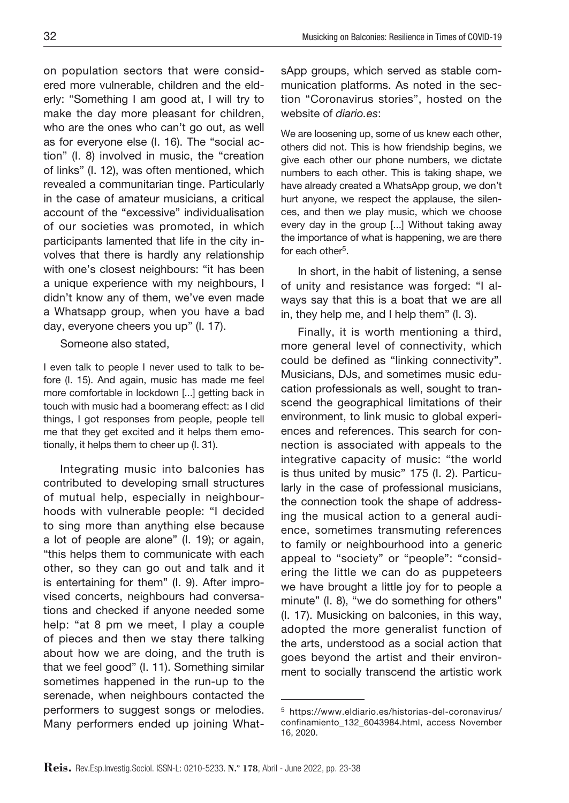on population sectors that were considered more vulnerable, children and the elderly: "Something I am good at, I will try to make the day more pleasant for children, who are the ones who can't go out, as well as for everyone else (I. 16). The "social action" (I. 8) involved in music, the "creation of links" (I. 12), was often mentioned, which revealed a communitarian tinge. Particularly in the case of amateur musicians, a critical account of the "excessive" individualisation of our societies was promoted, in which participants lamented that life in the city involves that there is hardly any relationship with one's closest neighbours: "it has been a unique experience with my neighbours, I didn't know any of them, we've even made a Whatsapp group, when you have a bad day, everyone cheers you up" (I. 17).

Someone also stated,

I even talk to people I never used to talk to before (I. 15). And again, music has made me feel more comfortable in lockdown [...] getting back in touch with music had a boomerang effect: as I did things, I got responses from people, people tell me that they get excited and it helps them emotionally, it helps them to cheer up (I. 31).

Integrating music into balconies has contributed to developing small structures of mutual help, especially in neighbourhoods with vulnerable people: "I decided to sing more than anything else because a lot of people are alone" (I. 19); or again, "this helps them to communicate with each other, so they can go out and talk and it is entertaining for them" (I. 9). After improvised concerts, neighbours had conversations and checked if anyone needed some help: "at 8 pm we meet, I play a couple of pieces and then we stay there talking about how we are doing, and the truth is that we feel good" (I. 11). Something similar sometimes happened in the run-up to the serenade, when neighbours contacted the performers to suggest songs or melodies. Many performers ended up joining WhatsApp groups, which served as stable communication platforms. As noted in the section "Coronavirus stories", hosted on the website of *diario.es*:

We are loosening up, some of us knew each other, others did not. This is how friendship begins, we give each other our phone numbers, we dictate numbers to each other. This is taking shape, we have already created a WhatsApp group, we don't hurt anyone, we respect the applause, the silences, and then we play music, which we choose every day in the group [...] Without taking away the importance of what is happening, we are there for each other<sup>5</sup>.

In short, in the habit of listening, a sense of unity and resistance was forged: "I always say that this is a boat that we are all in, they help me, and I help them" (I. 3).

Finally, it is worth mentioning a third, more general level of connectivity, which could be defined as "linking connectivity". Musicians, DJs, and sometimes music education professionals as well, sought to transcend the geographical limitations of their environment, to link music to global experiences and references. This search for connection is associated with appeals to the integrative capacity of music: "the world is thus united by music" 175 (I. 2). Particularly in the case of professional musicians, the connection took the shape of addressing the musical action to a general audience, sometimes transmuting references to family or neighbourhood into a generic appeal to "society" or "people": "considering the little we can do as puppeteers we have brought a little joy for to people a minute" (I. 8), "we do something for others" (I. 17). Musicking on balconies, in this way, adopted the more generalist function of the arts, understood as a social action that goes beyond the artist and their environment to socially transcend the artistic work

<sup>5</sup> [https://www.eldiario.es/historias-del-coronavirus/](https://www.eldiario.es/historias-del-coronavirus/confinamiento_132_6043984.html) [confinamiento\\_132\\_6043984.htm](https://www.eldiario.es/historias-del-coronavirus/confinamiento_132_6043984.html)l, access November 16, 2020.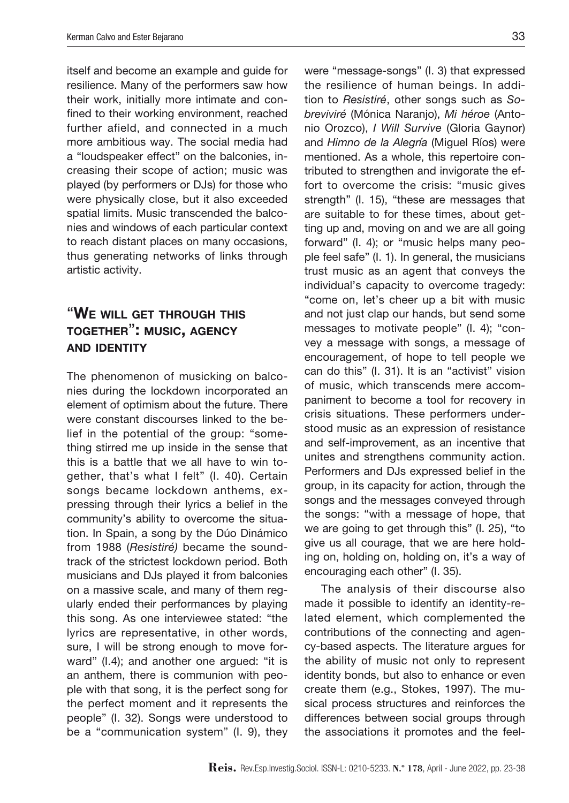itself and become an example and guide for resilience. Many of the performers saw how their work, initially more intimate and confined to their working environment, reached further afield, and connected in a much more ambitious way. The social media had a "loudspeaker effect" on the balconies, increasing their scope of action; music was played (by performers or DJs) for those who were physically close, but it also exceeded spatial limits. Music transcended the balconies and windows of each particular context to reach distant places on many occasions, thus generating networks of links through artistic activity.

# "We will get through this together": music, agency and identity

The phenomenon of musicking on balconies during the lockdown incorporated an element of optimism about the future. There were constant discourses linked to the belief in the potential of the group: "something stirred me up inside in the sense that this is a battle that we all have to win together, that's what I felt" (I. 40). Certain songs became lockdown anthems, expressing through their lyrics a belief in the community's ability to overcome the situation. In Spain, a song by the Dúo Dinámico from 1988 (*Resistiré)* became the soundtrack of the strictest lockdown period. Both musicians and DJs played it from balconies on a massive scale, and many of them regularly ended their performances by playing this song. As one interviewee stated: "the lyrics are representative, in other words, sure, I will be strong enough to move forward" (I.4); and another one argued: "it is an anthem, there is communion with people with that song, it is the perfect song for the perfect moment and it represents the people" (I. 32). Songs were understood to be a "communication system" (I. 9), they were "message-songs" (I. 3) that expressed the resilience of human beings. In addition to *Resistiré*, other songs such as *Sobreviviré* (Mónica Naranjo), *Mi héroe* (Antonio Orozco), *I Will Survive* (Gloria Gaynor) and *Himno de la Alegría* (Miguel Ríos) were mentioned. As a whole, this repertoire contributed to strengthen and invigorate the effort to overcome the crisis: "music gives strength" (I. 15), "these are messages that are suitable to for these times, about getting up and, moving on and we are all going forward" (I. 4); or "music helps many people feel safe" (I. 1). In general, the musicians trust music as an agent that conveys the individual's capacity to overcome tragedy: "come on, let's cheer up a bit with music and not just clap our hands, but send some messages to motivate people" (I. 4); "convey a message with songs, a message of encouragement, of hope to tell people we can do this" (I. 31). It is an "activist" vision of music, which transcends mere accompaniment to become a tool for recovery in crisis situations. These performers understood music as an expression of resistance and self-improvement, as an incentive that unites and strengthens community action. Performers and DJs expressed belief in the group, in its capacity for action, through the songs and the messages conveyed through the songs: "with a message of hope, that we are going to get through this" (I. 25), "to give us all courage, that we are here holding on, holding on, holding on, it's a way of encouraging each other" (I. 35).

The analysis of their discourse also made it possible to identify an identity-related element, which complemented the contributions of the connecting and agency-based aspects. The literature argues for the ability of music not only to represent identity bonds, but also to enhance or even create them (e.g., Stokes, 1997). The musical process structures and reinforces the differences between social groups through the associations it promotes and the feel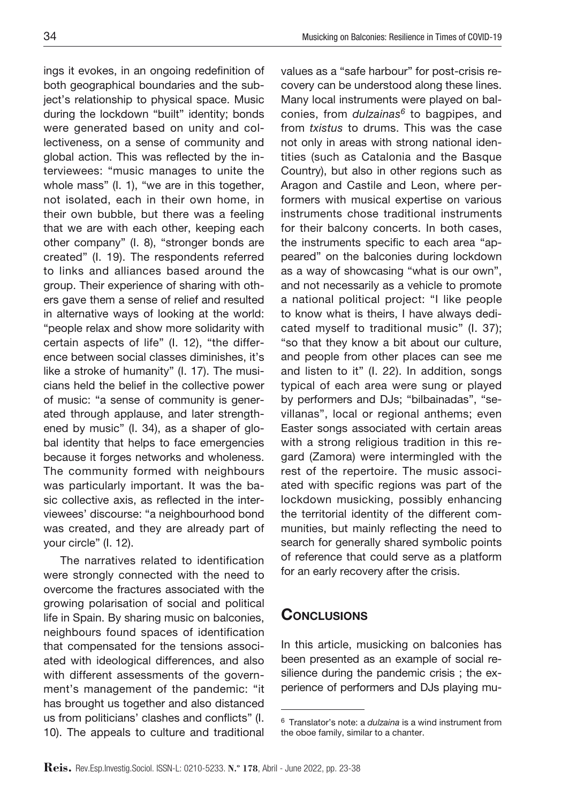ings it evokes, in an ongoing redefinition of both geographical boundaries and the subject's relationship to physical space. Music during the lockdown "built" identity; bonds were generated based on unity and collectiveness, on a sense of community and global action. This was reflected by the interviewees: "music manages to unite the whole mass" (I. 1), "we are in this together, not isolated, each in their own home, in their own bubble, but there was a feeling that we are with each other, keeping each other company" (I. 8), "stronger bonds are created" (I. 19). The respondents referred to links and alliances based around the group. Their experience of sharing with others gave them a sense of relief and resulted in alternative ways of looking at the world: "people relax and show more solidarity with certain aspects of life" (I. 12), "the difference between social classes diminishes, it's like a stroke of humanity" (I. 17). The musicians held the belief in the collective power of music: "a sense of community is generated through applause, and later strengthened by music" (I. 34), as a shaper of global identity that helps to face emergencies because it forges networks and wholeness. The community formed with neighbours was particularly important. It was the basic collective axis, as reflected in the interviewees' discourse: "a neighbourhood bond was created, and they are already part of your circle" (I. 12).

The narratives related to identification were strongly connected with the need to overcome the fractures associated with the growing polarisation of social and political life in Spain. By sharing music on balconies, neighbours found spaces of identification that compensated for the tensions associated with ideological differences, and also with different assessments of the government's management of the pandemic: "it has brought us together and also distanced us from politicians' clashes and conflicts" (I. 10). The appeals to culture and traditional

values as a "safe harbour" for post-crisis recovery can be understood along these lines. Many local instruments were played on balconies, from *dulzainas6* to bagpipes, and from *txistus* to drums. This was the case not only in areas with strong national identities (such as Catalonia and the Basque Country), but also in other regions such as Aragon and Castile and Leon, where performers with musical expertise on various instruments chose traditional instruments for their balcony concerts. In both cases, the instruments specific to each area "appeared" on the balconies during lockdown as a way of showcasing "what is our own", and not necessarily as a vehicle to promote a national political project: "I like people to know what is theirs, I have always dedicated myself to traditional music" (I. 37); "so that they know a bit about our culture, and people from other places can see me and listen to it" (I. 22). In addition, songs typical of each area were sung or played by performers and DJs; "bilbainadas", "sevillanas", local or regional anthems; even Easter songs associated with certain areas with a strong religious tradition in this regard (Zamora) were intermingled with the rest of the repertoire. The music associated with specific regions was part of the lockdown musicking, possibly enhancing the territorial identity of the different communities, but mainly reflecting the need to search for generally shared symbolic points of reference that could serve as a platform for an early recovery after the crisis.

# **CONCLUSIONS**

In this article, musicking on balconies has been presented as an example of social resilience during the pandemic crisis ; the experience of performers and DJs playing mu-

<sup>6</sup> Translator's note: a *dulzaina* is a wind instrument from the oboe family, similar to a chanter.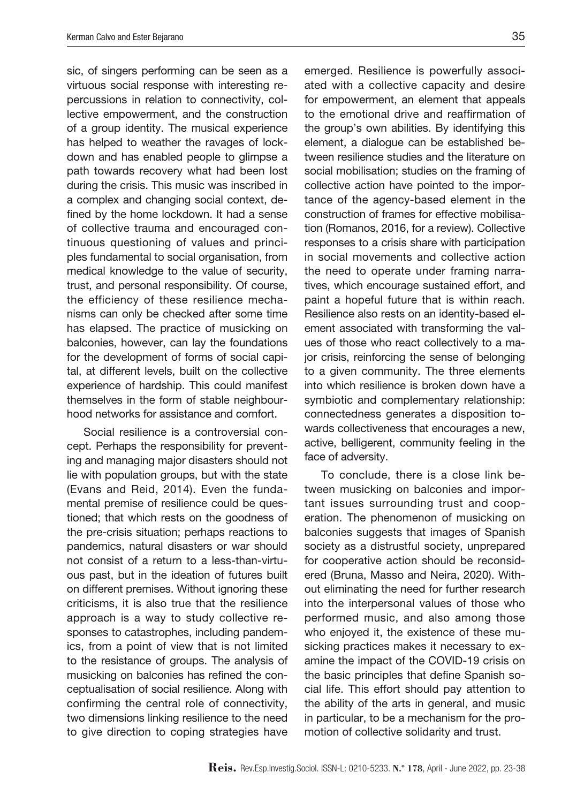sic, of singers performing can be seen as a virtuous social response with interesting repercussions in relation to connectivity, collective empowerment, and the construction of a group identity. The musical experience has helped to weather the ravages of lockdown and has enabled people to glimpse a path towards recovery what had been lost during the crisis. This music was inscribed in a complex and changing social context, defined by the home lockdown. It had a sense of collective trauma and encouraged continuous questioning of values and principles fundamental to social organisation, from medical knowledge to the value of security, trust, and personal responsibility. Of course, the efficiency of these resilience mechanisms can only be checked after some time has elapsed. The practice of musicking on balconies, however, can lay the foundations for the development of forms of social capital, at different levels, built on the collective experience of hardship. This could manifest themselves in the form of stable neighbourhood networks for assistance and comfort.

Social resilience is a controversial concept. Perhaps the responsibility for preventing and managing major disasters should not lie with population groups, but with the state (Evans and Reid, 2014). Even the fundamental premise of resilience could be questioned; that which rests on the goodness of the pre-crisis situation; perhaps reactions to pandemics, natural disasters or war should not consist of a return to a less-than-virtuous past, but in the ideation of futures built on different premises. Without ignoring these criticisms, it is also true that the resilience approach is a way to study collective responses to catastrophes, including pandemics, from a point of view that is not limited to the resistance of groups. The analysis of musicking on balconies has refined the conceptualisation of social resilience. Along with confirming the central role of connectivity, two dimensions linking resilience to the need to give direction to coping strategies have

emerged. Resilience is powerfully associated with a collective capacity and desire for empowerment, an element that appeals to the emotional drive and reaffirmation of the group's own abilities. By identifying this element, a dialogue can be established between resilience studies and the literature on social mobilisation; studies on the framing of collective action have pointed to the importance of the agency-based element in the construction of frames for effective mobilisation (Romanos, 2016, for a review). Collective responses to a crisis share with participation in social movements and collective action the need to operate under framing narratives, which encourage sustained effort, and paint a hopeful future that is within reach. Resilience also rests on an identity-based element associated with transforming the values of those who react collectively to a major crisis, reinforcing the sense of belonging to a given community. The three elements into which resilience is broken down have a symbiotic and complementary relationship: connectedness generates a disposition towards collectiveness that encourages a new, active, belligerent, community feeling in the face of adversity.

To conclude, there is a close link between musicking on balconies and important issues surrounding trust and cooperation. The phenomenon of musicking on balconies suggests that images of Spanish society as a distrustful society, unprepared for cooperative action should be reconsidered (Bruna, Masso and Neira, 2020). Without eliminating the need for further research into the interpersonal values of those who performed music, and also among those who enjoyed it, the existence of these musicking practices makes it necessary to examine the impact of the COVID-19 crisis on the basic principles that define Spanish social life. This effort should pay attention to the ability of the arts in general, and music in particular, to be a mechanism for the promotion of collective solidarity and trust.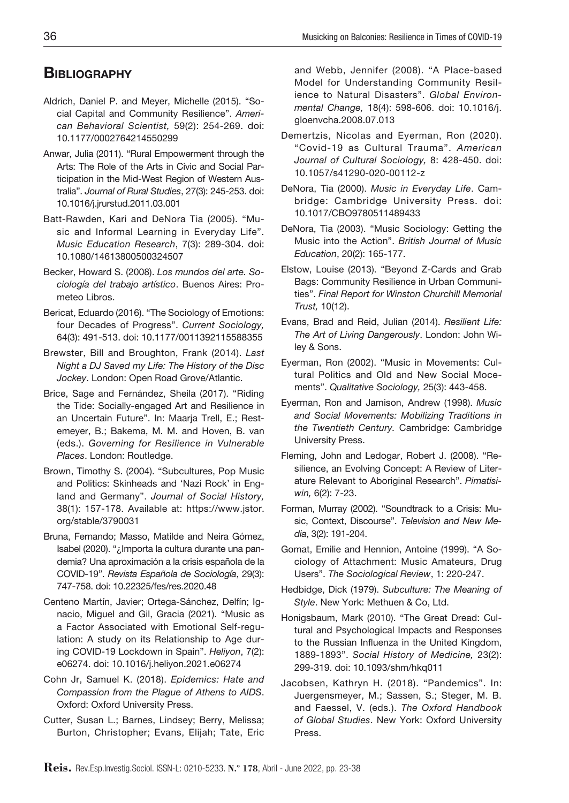# **BIBLIOGRAPHY**

- Aldrich, Daniel P. and Meyer, Michelle (2015). "Social Capital and Community Resilience". *American Behavioral Scientist,* 59(2): 254-269. doi: 10.1177/0002764214550299
- Anwar, Julia (2011). "Rural Empowerment through the Arts: The Role of the Arts in Civic and Social Participation in the Mid-West Region of Western Australia". *Journal of Rural Studies*, 27(3): 245-253. doi: 10.1016/j.jrurstud.2011.03.001
- Batt-Rawden, Kari and DeNora Tia (2005). "Music and Informal Learning in Everyday Life". *Music Education Research*, 7(3): 289-304. [doi:](https://doi.org/10.1080/14613800500324507)  [10.1080/14613800500324507](https://doi.org/10.1080/14613800500324507)
- Becker, Howard S. (2008). *Los mundos del arte. Sociología del trabajo artístico*. Buenos Aires: Prometeo Libros.
- Bericat, Eduardo (2016). "The Sociology of Emotions: four Decades of Progress". *Current Sociology,*  64(3): 491-513. doi: 10.1177/0011392115588355
- Brewster, Bill and Broughton, Frank (2014). *Last Night a DJ Saved my Life: The History of the Disc Jockey*. London: Open Road Grove/Atlantic.
- Brice, Sage and Fernández, Sheila (2017). "Riding the Tide: Socially-engaged Art and Resilience in an Uncertain Future". In: Maarja Trell, E.; Restemeyer, B.; Bakema, M. M. and Hoven, B. van (eds.). *Governing for Resilience in Vulnerable Places*. London: Routledge.
- Brown, Timothy S. (2004). "Subcultures, Pop Music and Politics: Skinheads and 'Nazi Rock' in England and Germany". *Journal of Social History,* 38(1): 157-178. Available at: https://www.jstor. org/stable/3790031
- Bruna, Fernando; Masso, Matilde and Neira Gómez, Isabel (2020). "¿Importa la cultura durante una pandemia? Una aproximación a la crisis española de la COVID-19". *Revista Española de Sociología*, 29(3): 747-758. doi: 10.22325/fes/res.2020.48
- Centeno Martín, Javier; Ortega-Sánchez, Delfín; Ignacio, Miguel and Gil, Gracia (2021). "Music as a Factor Associated with Emotional Self-regulation: A study on its Relationship to Age during COVID-19 Lockdown in Spain". *Heliyon*, 7(2): e06274. [doi: 10.1016/j.heliyon.2021.e06274](https://doi.org/10.1016/j.heliyon.2021.e06274)
- Cohn Jr, Samuel K. (2018). *Epidemics: Hate and Compassion from the Plague of Athens to AIDS*. Oxford: Oxford University Press.
- Cutter, Susan L.; Barnes, Lindsey; Berry, Melissa; Burton, Christopher; Evans, Elijah; Tate, Eric

and Webb, Jennifer (2008). "A Place-based Model for Understanding Community Resilience to Natural Disasters". *Global Environmental Change,* 18(4): 598-606. doi: 10.1016/j. gloenvcha.2008.07.013

- Demertzis, Nicolas and Eyerman, Ron (2020). "Covid-19 as Cultural Trauma". *American Journal of Cultural Sociology,* 8: 428-450. doi: 10.1057/s41290-020-00112-z
- DeNora, Tia (2000). *Music in Everyday Life*. Cambridge: Cambridge University Press. doi: 10.1017/CBO9780511489433
- DeNora, Tia (2003). "Music Sociology: Getting the Music into the Action". *British Journal of Music Education*, 20(2): 165-177.
- Elstow, Louise (2013). "Beyond Z-Cards and Grab Bags: Community Resilience in Urban Communities". *Final Report for Winston Churchill Memorial Trust,* 10(12).
- Evans, Brad and Reid, Julian (2014). *Resilient Life: The Art of Living Dangerously*. London: John Wiley & Sons.
- Eyerman, Ron (2002). "Music in Movements: Cultural Politics and Old and New Social Mocements". *Qualitative Sociology,* 25(3): 443-458.
- Eyerman, Ron and Jamison, Andrew (1998). *Music and Social Movements: Mobilizing Traditions in the Twentieth Century.* Cambridge: Cambridge University Press.
- Fleming, John and Ledogar, Robert J. (2008). "Resilience, an Evolving Concept: A Review of Literature Relevant to Aboriginal Research". *Pimatisiwin,* 6(2): 7-23.
- Forman, Murray (2002). "Soundtrack to a Crisis: Music, Context, Discourse". *Television and New Media*, 3(2): 191-204.
- Gomat, Emilie and Hennion, Antoine (1999). "A Sociology of Attachment: Music Amateurs, Drug Users". *The Sociological Review*, 1: 220-247.
- Hedbidge, Dick (1979). *Subculture: The Meaning of Style*. New York: Methuen & Co, Ltd.
- Honigsbaum, Mark (2010). "The Great Dread: Cultural and Psychological Impacts and Responses to the Russian Influenza in the United Kingdom, 1889-1893". *Social History of Medicine,* 23(2): 299-319. doi: 10.1093/shm/hkq011
- Jacobsen, Kathryn H. (2018). "Pandemics". In: Juergensmeyer, M.; Sassen, S.; Steger, M. B. and Faessel, V. (eds.). *The Oxford Handbook of Global Studies*. New York: Oxford University Press.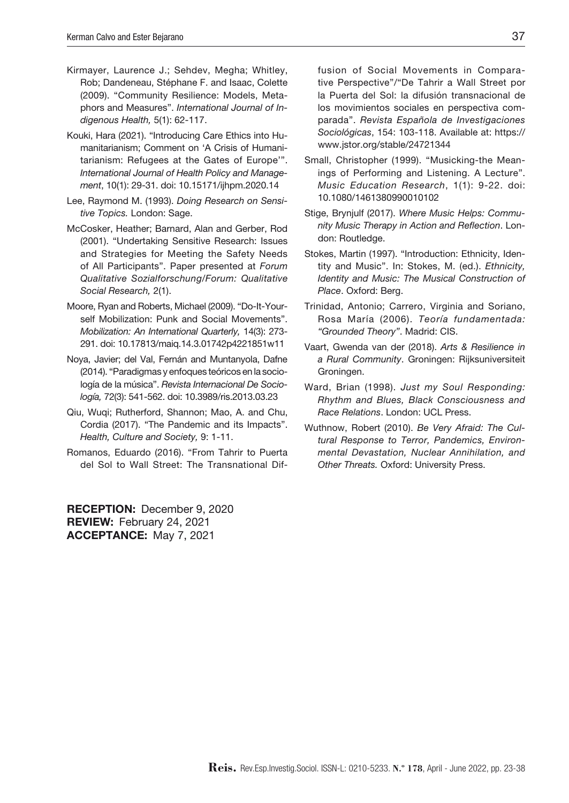- Kirmayer, Laurence J.; Sehdev, Megha; Whitley, Rob; Dandeneau, Stéphane F. and Isaac, Colette (2009). "Community Resilience: Models, Metaphors and Measures". *International Journal of Indigenous Health,* 5(1): 62-117.
- Kouki, Hara (2021). "Introducing Care Ethics into Humanitarianism; Comment on 'A Crisis of Humanitarianism: Refugees at the Gates of Europe'". *International Journal of Health Policy and Management*, 10(1): 29-31. doi: 10.15171/ijhpm.2020.14
- Lee, Raymond M. (1993). *Doing Research on Sensitive Topics.* London: Sage.
- McCosker, Heather; Barnard, Alan and Gerber, Rod (2001). "Undertaking Sensitive Research: Issues and Strategies for Meeting the Safety Needs of All Participants". Paper presented at *Forum Qualitative Sozialforschung/Forum: Qualitative Social Research,* 2(1).
- Moore, Ryan and Roberts, Michael (2009). "Do-It-Yourself Mobilization: Punk and Social Movements". *Mobilization: An International Quarterly,* 14(3): 273- 291. doi: 10.17813/maiq.14.3.01742p4221851w11
- Noya, Javier; del Val, Fernán and Muntanyola, Dafne (2014). "Paradigmas y enfoques teóricos en la sociología de la música". *Revista Internacional De Sociología,* 72(3): 541-562. doi: 10.3989/ris.2013.03.23
- Qiu, Wuqi; Rutherford, Shannon; Mao, A. and Chu, Cordia (2017). "The Pandemic and its Impacts". *Health, Culture and Society,* 9: 1-11.
- Romanos, Eduardo (2016). "From Tahrir to Puerta del Sol to Wall Street: The Transnational Dif-

RECEPTION: December 9, 2020 REVIEW: February 24, 2021 ACCEPTANCE: May 7, 2021

fusion of Social Movements in Comparative Perspective"/"De Tahrir a Wall Street por la Puerta del Sol: la difusión transnacional de los movimientos sociales en perspectiva comparada". *Revista Española de Investigaciones Sociológicas*, 154: 103-118. Available at: [https://](https://www.jstor.org/stable/24721344) [www.jstor.org/stable/24721344](https://www.jstor.org/stable/24721344)

- Small, Christopher (1999). "Musicking-the Meanings of Performing and Listening. A Lecture". *Music Education Research*, 1(1): 9-22. [doi:](https://doi.org/10.1080/1461380990010102) [10.1080/1461380990010102](https://doi.org/10.1080/1461380990010102)
- Stige, Brynjulf (2017). *Where Music Helps: Community Music Therapy in Action and Reflection*. London: Routledge.
- Stokes, Martin (1997). "Introduction: Ethnicity, Identity and Music". In: Stokes, M. (ed.). *Ethnicity, Identity and Music: The Musical Construction of Place*. Oxford: Berg.
- Trinidad, Antonio; Carrero, Virginia and Soriano, Rosa María (2006). *Teoría fundamentada: "Grounded Theory"*. Madrid: CIS.
- Vaart, Gwenda van der (2018). *Arts & Resilience in a Rural Community*. Groningen: Rijksuniversiteit Groningen.
- Ward, Brian (1998). *Just my Soul Responding: Rhythm and Blues, Black Consciousness and Race Relations*. London: UCL Press.
- Wuthnow, Robert (2010). *Be Very Afraid: The Cultural Response to Terror, Pandemics, Environmental Devastation, Nuclear Annihilation, and Other Threats.* Oxford: University Press.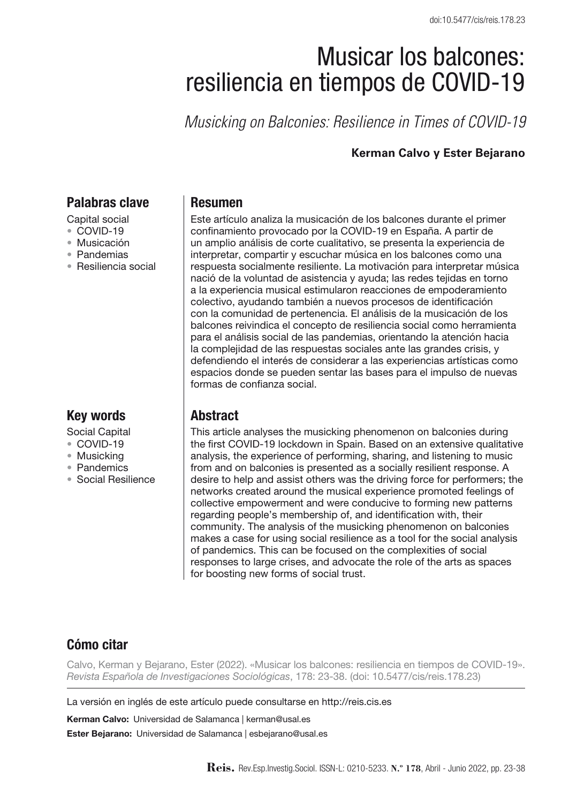# Musicar los balcones: resiliencia en tiempos de COVID-19

*Musicking on Balconies: Resilience in Times of COVID-19*

#### **Kerman Calvo y Ester Bejarano**

#### Palabras clave

- Capital social
- COVID-19
- • Musicación
- • Pandemias
- • Resiliencia social

#### Key words

- Social Capital
- • COVID-19
- • Musicking
- • Pandemics
- • Social Resilience

#### Resumen

Este artículo analiza la musicación de los balcones durante el primer confinamiento provocado por la COVID-19 en España. A partir de un amplio análisis de corte cualitativo, se presenta la experiencia de interpretar, compartir y escuchar música en los balcones como una respuesta socialmente resiliente. La motivación para interpretar música nació de la voluntad de asistencia y ayuda; las redes tejidas en torno a la experiencia musical estimularon reacciones de empoderamiento colectivo, ayudando también a nuevos procesos de identificación con la comunidad de pertenencia. El análisis de la musicación de los balcones reivindica el concepto de resiliencia social como herramienta para el análisis social de las pandemias, orientando la atención hacia la complejidad de las respuestas sociales ante las grandes crisis, y defendiendo el interés de considerar a las experiencias artísticas como espacios donde se pueden sentar las bases para el impulso de nuevas formas de confianza social.

# Abstract

This article analyses the musicking phenomenon on balconies during the first COVID-19 lockdown in Spain. Based on an extensive qualitative analysis, the experience of performing, sharing, and listening to music from and on balconies is presented as a socially resilient response. A desire to help and assist others was the driving force for performers; the networks created around the musical experience promoted feelings of collective empowerment and were conducive to forming new patterns regarding people's membership of, and identification with, their community. The analysis of the musicking phenomenon on balconies makes a case for using social resilience as a tool for the social analysis of pandemics. This can be focused on the complexities of social responses to large crises, and advocate the role of the arts as spaces for boosting new forms of social trust.

## Cómo citar

Calvo, Kerman y Bejarano, Ester (2022). «Musicar los balcones: resiliencia en tiempos de COVID-19». *Revista Española de Investigaciones Sociológicas*, 178: 23-38. (doi: 10.5477/cis/reis.178.23)

La versión en inglés de este artículo puede consultarse en http://reis.cis.es

Kerman Calvo: Universidad de Salamanca | kerman@usal.es

Ester Bejarano: Universidad de Salamanca | esbejarano@usal.es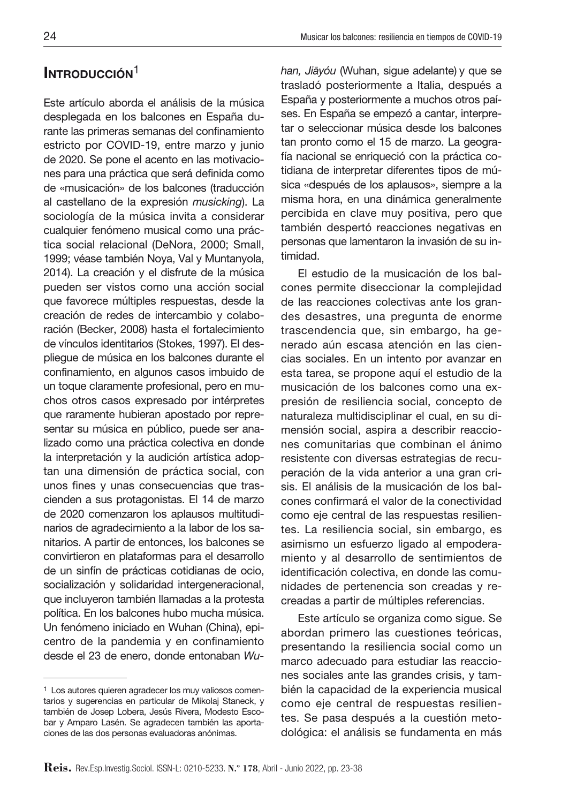# INTRODUCCIÓN<sup>1</sup>

Este artículo aborda el análisis de la música desplegada en los balcones en España durante las primeras semanas del confinamiento estricto por COVID-19, entre marzo y junio de 2020. Se pone el acento en las motivaciones para una práctica que será definida como de «musicación» de los balcones (traducción al castellano de la expresión *musicking*). La sociología de la música invita a considerar cualquier fenómeno musical como una práctica social relacional (DeNora, 2000; Small, 1999; véase también Noya, Val y Muntanyola, 2014). La creación y el disfrute de la música pueden ser vistos como una acción social que favorece múltiples respuestas, desde la creación de redes de intercambio y colaboración (Becker, 2008) hasta el fortalecimiento de vínculos identitarios (Stokes, 1997). El despliegue de música en los balcones durante el confinamiento, en algunos casos imbuido de un toque claramente profesional, pero en muchos otros casos expresado por intérpretes que raramente hubieran apostado por representar su música en público, puede ser analizado como una práctica colectiva en donde la interpretación y la audición artística adoptan una dimensión de práctica social, con unos fines y unas consecuencias que trascienden a sus protagonistas. El 14 de marzo de 2020 comenzaron los aplausos multitudinarios de agradecimiento a la labor de los sanitarios. A partir de entonces, los balcones se convirtieron en plataformas para el desarrollo de un sinfín de prácticas cotidianas de ocio, socialización y solidaridad intergeneracional, que incluyeron también llamadas a la protesta política. En los balcones hubo mucha música. Un fenómeno iniciado en Wuhan (China), epicentro de la pandemia y en confinamiento desde el 23 de enero, donde entonaban *Wu-* han, Jiāyóu (Wuhan, sigue adelante) y que se trasladó posteriormente a Italia, después a España y posteriormente a muchos otros países. En España se empezó a cantar, interpretar o seleccionar música desde los balcones tan pronto como el 15 de marzo. La geografía nacional se enriqueció con la práctica cotidiana de interpretar diferentes tipos de música «después de los aplausos», siempre a la misma hora, en una dinámica generalmente percibida en clave muy positiva, pero que también despertó reacciones negativas en personas que lamentaron la invasión de su intimidad.

El estudio de la musicación de los balcones permite diseccionar la complejidad de las reacciones colectivas ante los grandes desastres, una pregunta de enorme trascendencia que, sin embargo, ha generado aún escasa atención en las ciencias sociales. En un intento por avanzar en esta tarea, se propone aquí el estudio de la musicación de los balcones como una expresión de resiliencia social, concepto de naturaleza multidisciplinar el cual, en su dimensión social, aspira a describir reacciones comunitarias que combinan el ánimo resistente con diversas estrategias de recuperación de la vida anterior a una gran crisis. El análisis de la musicación de los balcones confirmará el valor de la conectividad como eje central de las respuestas resilientes. La resiliencia social, sin embargo, es asimismo un esfuerzo ligado al empoderamiento y al desarrollo de sentimientos de identificación colectiva, en donde las comunidades de pertenencia son creadas y recreadas a partir de múltiples referencias.

Este artículo se organiza como sigue. Se abordan primero las cuestiones teóricas, presentando la resiliencia social como un marco adecuado para estudiar las reacciones sociales ante las grandes crisis, y también la capacidad de la experiencia musical como eje central de respuestas resilientes. Se pasa después a la cuestión metodológica: el análisis se fundamenta en más

<sup>1</sup> Los autores quieren agradecer los muy valiosos comentarios y sugerencias en particular de Mikolaj Staneck, y también de Josep Lobera, Jesús Rivera, Modesto Escobar y Amparo Lasén. Se agradecen también las aportaciones de las dos personas evaluadoras anónimas.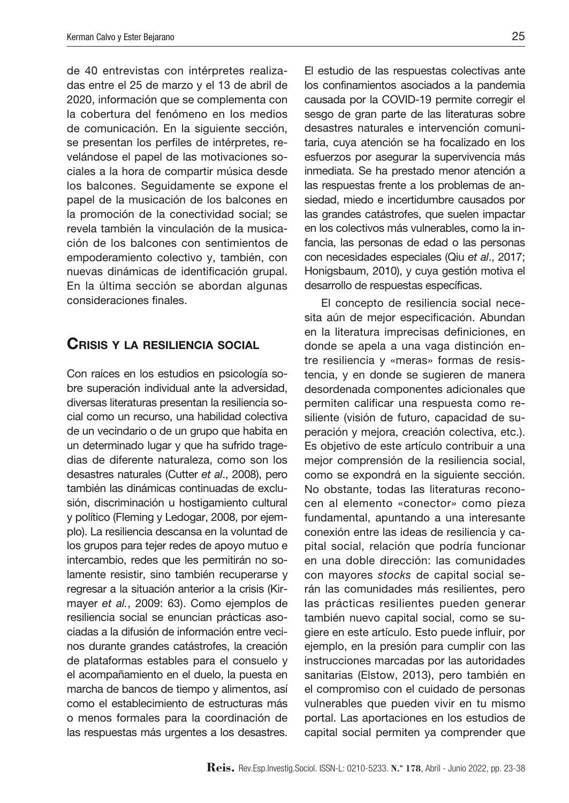de 40 entrevistas con intérpretes realizadas entre el 25 de marzo y el 13 de abril de 2020, información que se complementa con la cobertura del fenómeno en los medios de comunicación. En la siguiente sección, se presentan los perfiles de intérpretes, revelándose el papel de las motivaciones sociales a la hora de compartir música desde los balcones. Seguidamente se expone el papel de la musicación de los balcones en la promoción de la conectividad social; se revela también la vinculación de la musicación de los balcones con sentimientos de empoderamiento colectivo y, también, con nuevas dinámicas de identificación grupal. En la última sección se abordan algunas consideraciones finales.

#### Crisis y la resiliencia social

Con raíces en los estudios en psicología sobre superación individual ante la adversidad, diversas literaturas presentan la resiliencia social como un recurso, una habilidad colectiva de un vecindario o de un grupo que habita en un determinado lugar y que ha sufrido tragedias de diferente naturaleza, como son los desastres naturales (Cutter *et al*., 2008), pero también las dinámicas continuadas de exclusión, discriminación u hostigamiento cultural y político (Fleming y Ledogar, 2008, por ejemplo). La resiliencia descansa en la voluntad de los grupos para tejer redes de apoyo mutuo e intercambio, redes que les permitirán no solamente resistir, sino también recuperarse y regresar a la situación anterior a la crisis (Kirmayer *et al.*, 2009: 63). Como ejemplos de resiliencia social se enuncian prácticas asociadas a la difusión de información entre vecinos durante grandes catástrofes, la creación de plataformas estables para el consuelo y el acompañamiento en el duelo, la puesta en marcha de bancos de tiempo y alimentos, así como el establecimiento de estructuras más o menos formales para la coordinación de las respuestas más urgentes a los desastres.

El estudio de las respuestas colectivas ante los confinamientos asociados a la pandemia causada por la COVID-19 permite corregir el sesgo de gran parte de las literaturas sobre desastres naturales e intervención comunitaria, cuya atención se ha focalizado en los esfuerzos por asegurar la supervivencia más inmediata. Se ha prestado menor atención a las respuestas frente a los problemas de ansiedad, miedo e incertidumbre causados por las grandes catástrofes, que suelen impactar en los colectivos más vulnerables, como la infancia, las personas de edad o las personas con necesidades especiales (Qiu *et al*., 2017; Honigsbaum, 2010), y cuya gestión motiva el desarrollo de respuestas específicas.

El concepto de resiliencia social necesita aún de mejor especificación. Abundan en la literatura imprecisas definiciones, en donde se apela a una vaga distinción entre resiliencia y «meras» formas de resistencia, y en donde se sugieren de manera desordenada componentes adicionales que permiten calificar una respuesta como resiliente (visión de futuro, capacidad de superación y mejora, creación colectiva, etc.). Es objetivo de este artículo contribuir a una mejor comprensión de la resiliencia social, como se expondrá en la siguiente sección. No obstante, todas las literaturas reconocen al elemento «conector*»* como pieza fundamental, apuntando a una interesante conexión entre las ideas de resiliencia y capital social, relación que podría funcionar en una doble dirección: las comunidades con mayores *stocks* de capital social serán las comunidades más resilientes, pero las prácticas resilientes pueden generar también nuevo capital social, como se sugiere en este artículo. Esto puede influir, por ejemplo, en la presión para cumplir con las instrucciones marcadas por las autoridades sanitarias (Elstow, 2013), pero también en el compromiso con el cuidado de personas vulnerables que pueden vivir en tu mismo portal. Las aportaciones en los estudios de capital social permiten ya comprender que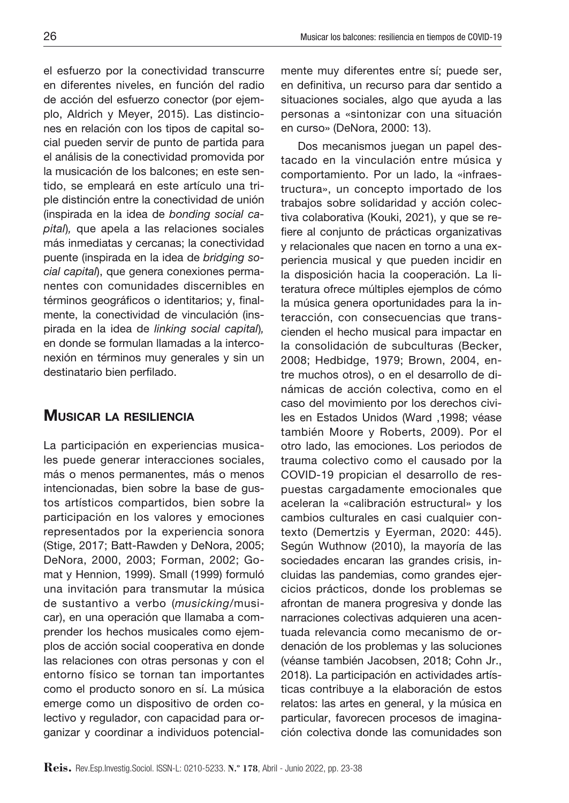el esfuerzo por la conectividad transcurre en diferentes niveles, en función del radio de acción del esfuerzo conector (por ejemplo, Aldrich y Meyer, 2015). Las distinciones en relación con los tipos de capital social pueden servir de punto de partida para el análisis de la conectividad promovida por la musicación de los balcones; en este sentido, se empleará en este artículo una triple distinción entre la conectividad de unión (inspirada en la idea de *bonding social capital*)*,* que apela a las relaciones sociales más inmediatas y cercanas; la conectividad puente (inspirada en la idea de *bridging social capital*), que genera conexiones permanentes con comunidades discernibles en términos geográficos o identitarios; y, finalmente, la conectividad de vinculación (inspirada en la idea de *linking social capital*)*,* en donde se formulan llamadas a la interconexión en términos muy generales y sin un destinatario bien perfilado.

## Musicar la resiliencia

La participación en experiencias musicales puede generar interacciones sociales, más o menos permanentes, más o menos intencionadas, bien sobre la base de gustos artísticos compartidos, bien sobre la participación en los valores y emociones representados por la experiencia sonora (Stige, 2017; Batt-Rawden y DeNora, 2005; DeNora, 2000, 2003; Forman, 2002; Gomat y Hennion, 1999). Small (1999) formuló una invitación para transmutar la música de sustantivo a verbo (*musicking*/musicar), en una operación que llamaba a comprender los hechos musicales como ejemplos de acción social cooperativa en donde las relaciones con otras personas y con el entorno físico se tornan tan importantes como el producto sonoro en sí. La música emerge como un dispositivo de orden colectivo y regulador, con capacidad para organizar y coordinar a individuos potencialmente muy diferentes entre sí; puede ser, en definitiva, un recurso para dar sentido a situaciones sociales, algo que ayuda a las personas a «sintonizar con una situación en curso» (DeNora, 2000: 13).

Dos mecanismos juegan un papel destacado en la vinculación entre música y comportamiento. Por un lado, la «infraestructura», un concepto importado de los trabajos sobre solidaridad y acción colectiva colaborativa (Kouki, 2021), y que se refiere al conjunto de prácticas organizativas y relacionales que nacen en torno a una experiencia musical y que pueden incidir en la disposición hacia la cooperación. La literatura ofrece múltiples ejemplos de cómo la música genera oportunidades para la interacción, con consecuencias que transcienden el hecho musical para impactar en la consolidación de subculturas (Becker, 2008; Hedbidge, 1979; Brown, 2004, entre muchos otros), o en el desarrollo de dinámicas de acción colectiva, como en el caso del movimiento por los derechos civiles en Estados Unidos (Ward ,1998; véase también Moore y Roberts, 2009). Por el otro lado, las emociones. Los periodos de trauma colectivo como el causado por la COVID-19 propician el desarrollo de respuestas cargadamente emocionales que aceleran la «calibración estructural» y los cambios culturales en casi cualquier contexto (Demertzis y Eyerman, 2020: 445). Según Wuthnow (2010), la mayoría de las sociedades encaran las grandes crisis, incluidas las pandemias, como grandes ejercicios prácticos, donde los problemas se afrontan de manera progresiva y donde las narraciones colectivas adquieren una acentuada relevancia como mecanismo de ordenación de los problemas y las soluciones (véanse también Jacobsen, 2018; Cohn Jr., 2018). La participación en actividades artísticas contribuye a la elaboración de estos relatos: las artes en general, y la música en particular, favorecen procesos de imaginación colectiva donde las comunidades son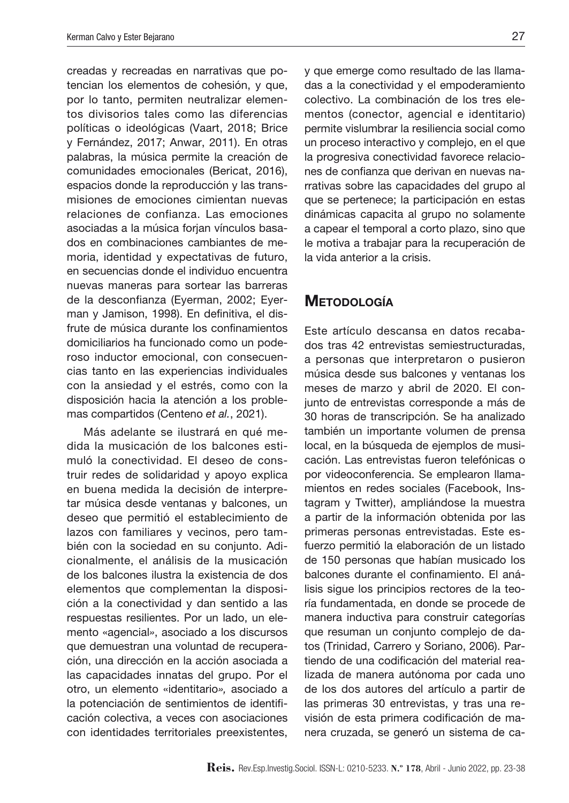creadas y recreadas en narrativas que potencian los elementos de cohesión, y que, por lo tanto, permiten neutralizar elementos divisorios tales como las diferencias políticas o ideológicas (Vaart, 2018; Brice y Fernández, 2017; Anwar, 2011). En otras palabras, la música permite la creación de comunidades emocionales (Bericat, 2016), espacios donde la reproducción y las transmisiones de emociones cimientan nuevas relaciones de confianza. Las emociones asociadas a la música forjan vínculos basados en combinaciones cambiantes de memoria, identidad y expectativas de futuro, en secuencias donde el individuo encuentra nuevas maneras para sortear las barreras de la desconfianza (Eyerman, 2002; Eyerman y Jamison, 1998). En definitiva, el disfrute de música durante los confinamientos domiciliarios ha funcionado como un poderoso inductor emocional, con consecuencias tanto en las experiencias individuales con la ansiedad y el estrés, como con la disposición hacia la atención a los problemas compartidos (Centeno *et al.*, 2021).

Más adelante se ilustrará en qué medida la musicación de los balcones estimuló la conectividad. El deseo de construir redes de solidaridad y apoyo explica en buena medida la decisión de interpretar música desde ventanas y balcones, un deseo que permitió el establecimiento de lazos con familiares y vecinos, pero también con la sociedad en su conjunto. Adicionalmente, el análisis de la musicación de los balcones ilustra la existencia de dos elementos que complementan la disposición a la conectividad y dan sentido a las respuestas resilientes. Por un lado, un elemento «agencial*»*, asociado a los discursos que demuestran una voluntad de recuperación, una dirección en la acción asociada a las capacidades innatas del grupo. Por el otro, un elemento «identitario*»,* asociado a la potenciación de sentimientos de identificación colectiva, a veces con asociaciones con identidades territoriales preexistentes,

y que emerge como resultado de las llamadas a la conectividad y el empoderamiento colectivo. La combinación de los tres elementos (conector, agencial e identitario) permite vislumbrar la resiliencia social como un proceso interactivo y complejo, en el que la progresiva conectividad favorece relaciones de confianza que derivan en nuevas narrativas sobre las capacidades del grupo al que se pertenece; la participación en estas dinámicas capacita al grupo no solamente a capear el temporal a corto plazo, sino que le motiva a trabajar para la recuperación de la vida anterior a la crisis.

## **METODOLOGÍA**

Este artículo descansa en datos recabados tras 42 entrevistas semiestructuradas, a personas que interpretaron o pusieron música desde sus balcones y ventanas los meses de marzo y abril de 2020. El conjunto de entrevistas corresponde a más de 30 horas de transcripción. Se ha analizado también un importante volumen de prensa local, en la búsqueda de ejemplos de musicación. Las entrevistas fueron telefónicas o por videoconferencia. Se emplearon llamamientos en redes sociales (Facebook, Instagram y Twitter), ampliándose la muestra a partir de la información obtenida por las primeras personas entrevistadas. Este esfuerzo permitió la elaboración de un listado de 150 personas que habían musicado los balcones durante el confinamiento. El análisis sigue los principios rectores de la teoría fundamentada, en donde se procede de manera inductiva para construir categorías que resuman un conjunto complejo de datos (Trinidad, Carrero y Soriano, 2006). Partiendo de una codificación del material realizada de manera autónoma por cada uno de los dos autores del artículo a partir de las primeras 30 entrevistas, y tras una revisión de esta primera codificación de manera cruzada, se generó un sistema de ca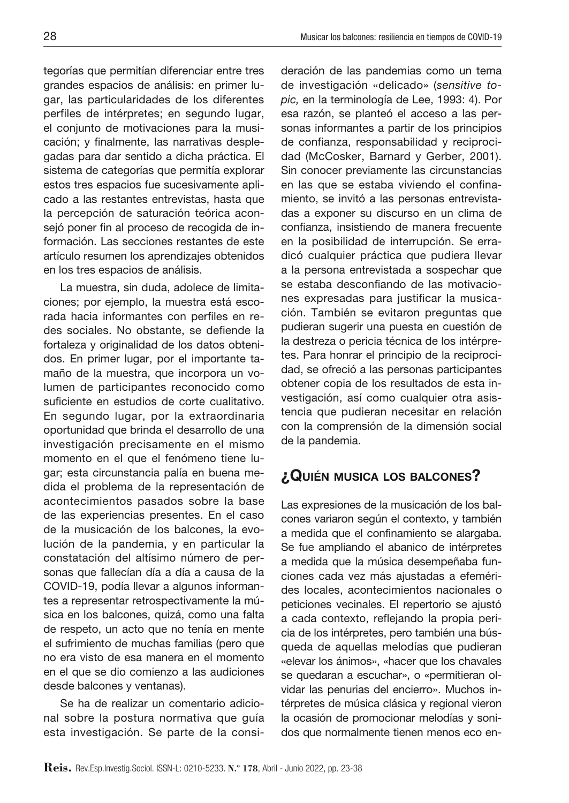tegorías que permitían diferenciar entre tres grandes espacios de análisis: en primer lugar, las particularidades de los diferentes perfiles de intérpretes; en segundo lugar, el conjunto de motivaciones para la musicación; y finalmente, las narrativas desplegadas para dar sentido a dicha práctica. El sistema de categorías que permitía explorar estos tres espacios fue sucesivamente aplicado a las restantes entrevistas, hasta que la percepción de saturación teórica aconsejó poner fin al proceso de recogida de información. Las secciones restantes de este artículo resumen los aprendizajes obtenidos en los tres espacios de análisis.

La muestra, sin duda, adolece de limitaciones; por ejemplo, la muestra está escorada hacia informantes con perfiles en redes sociales. No obstante, se defiende la fortaleza y originalidad de los datos obtenidos. En primer lugar, por el importante tamaño de la muestra, que incorpora un volumen de participantes reconocido como suficiente en estudios de corte cualitativo. En segundo lugar, por la extraordinaria oportunidad que brinda el desarrollo de una investigación precisamente en el mismo momento en el que el fenómeno tiene lugar; esta circunstancia palía en buena medida el problema de la representación de acontecimientos pasados sobre la base de las experiencias presentes. En el caso de la musicación de los balcones, la evolución de la pandemia, y en particular la constatación del altísimo número de personas que fallecían día a día a causa de la COVID-19, podía llevar a algunos informantes a representar retrospectivamente la música en los balcones, quizá, como una falta de respeto, un acto que no tenía en mente el sufrimiento de muchas familias (pero que no era visto de esa manera en el momento en el que se dio comienzo a las audiciones desde balcones y ventanas).

Se ha de realizar un comentario adicional sobre la postura normativa que guía esta investigación. Se parte de la consideración de las pandemias como un tema de investigación «delicado» (*sensitive topic,* en la terminología de Lee, 1993: 4). Por esa razón, se planteó el acceso a las personas informantes a partir de los principios de confianza, responsabilidad y reciprocidad (McCosker, Barnard y Gerber, 2001). Sin conocer previamente las circunstancias en las que se estaba viviendo el confinamiento, se invitó a las personas entrevistadas a exponer su discurso en un clima de confianza, insistiendo de manera frecuente en la posibilidad de interrupción. Se erradicó cualquier práctica que pudiera llevar a la persona entrevistada a sospechar que se estaba desconfiando de las motivaciones expresadas para justificar la musicación. También se evitaron preguntas que pudieran sugerir una puesta en cuestión de la destreza o pericia técnica de los intérpretes. Para honrar el principio de la reciprocidad, se ofreció a las personas participantes obtener copia de los resultados de esta investigación, así como cualquier otra asistencia que pudieran necesitar en relación con la comprensión de la dimensión social de la pandemia.

# ¿Quién musica los balcones?

Las expresiones de la musicación de los balcones variaron según el contexto, y también a medida que el confinamiento se alargaba. Se fue ampliando el abanico de intérpretes a medida que la música desempeñaba funciones cada vez más ajustadas a efemérides locales, acontecimientos nacionales o peticiones vecinales. El repertorio se ajustó a cada contexto, reflejando la propia pericia de los intérpretes, pero también una búsqueda de aquellas melodías que pudieran «elevar los ánimos», «hacer que los chavales se quedaran a escuchar», o «permitieran olvidar las penurias del encierro». Muchos intérpretes de música clásica y regional vieron la ocasión de promocionar melodías y sonidos que normalmente tienen menos eco en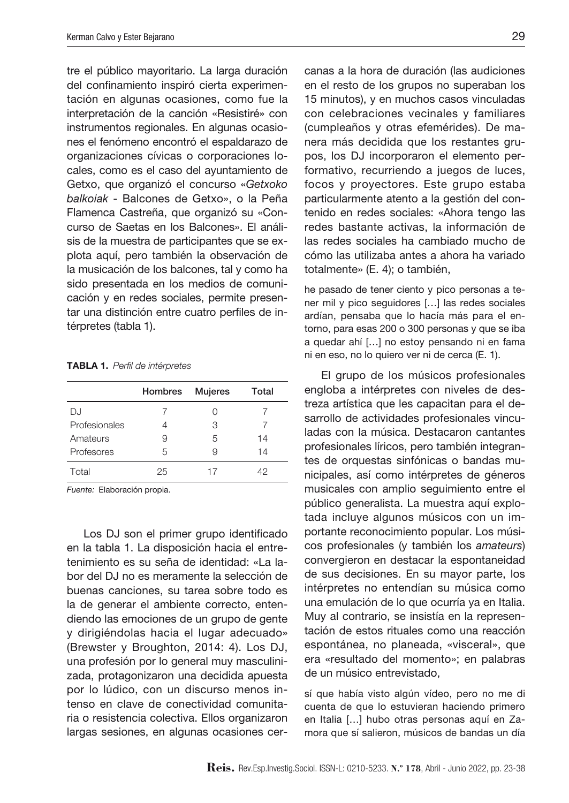tre el público mayoritario. La larga duración del confinamiento inspiró cierta experimentación en algunas ocasiones, como fue la interpretación de la canción «Resistiré» con instrumentos regionales. En algunas ocasiones el fenómeno encontró el espaldarazo de organizaciones cívicas o corporaciones locales, como es el caso del ayuntamiento de Getxo, que organizó el concurso «*Getxoko balkoiak* - Balcones de Getxo», o la Peña Flamenca Castreña, que organizó su «Concurso de Saetas en los Balcones». El análisis de la muestra de participantes que se explota aquí, pero también la observación de la musicación de los balcones, tal y como ha sido presentada en los medios de comunicación y en redes sociales, permite presentar una distinción entre cuatro perfiles de intérpretes (tabla 1).

Tabla 1. *Perfil de intérpretes*

|               | Hombres | <b>Mujeres</b> | Total |
|---------------|---------|----------------|-------|
| DJ.           |         |                |       |
| Profesionales |         | З              |       |
| Amateurs      | 9       | 5              | 14    |
| Profesores    | 5       |                | 14    |
| Total         | 25      | 17             | 42    |

*Fuente:* Elaboración propia.

Los DJ son el primer grupo identificado en la tabla 1. La disposición hacia el entretenimiento es su seña de identidad: «La labor del DJ no es meramente la selección de buenas canciones, su tarea sobre todo es la de generar el ambiente correcto, entendiendo las emociones de un grupo de gente y dirigiéndolas hacia el lugar adecuado» (Brewster y Broughton, 2014: 4). Los DJ, una profesión por lo general muy masculinizada, protagonizaron una decidida apuesta por lo lúdico, con un discurso menos intenso en clave de conectividad comunitaria o resistencia colectiva. Ellos organizaron largas sesiones, en algunas ocasiones cercanas a la hora de duración (las audiciones en el resto de los grupos no superaban los 15 minutos), y en muchos casos vinculadas con celebraciones vecinales y familiares (cumpleaños y otras efemérides). De manera más decidida que los restantes grupos, los DJ incorporaron el elemento performativo, recurriendo a juegos de luces, focos y proyectores. Este grupo estaba particularmente atento a la gestión del contenido en redes sociales: «Ahora tengo las redes bastante activas, la información de las redes sociales ha cambiado mucho de cómo las utilizaba antes a ahora ha variado totalmente» (E. 4); o también,

he pasado de tener ciento y pico personas a tener mil y pico seguidores […] las redes sociales ardían, pensaba que lo hacía más para el entorno, para esas 200 o 300 personas y que se iba a quedar ahí […] no estoy pensando ni en fama ni en eso, no lo quiero ver ni de cerca (E. 1).

El grupo de los músicos profesionales engloba a intérpretes con niveles de destreza artística que les capacitan para el desarrollo de actividades profesionales vinculadas con la música. Destacaron cantantes profesionales líricos, pero también integrantes de orquestas sinfónicas o bandas municipales, así como intérpretes de géneros musicales con amplio seguimiento entre el público generalista. La muestra aquí explotada incluye algunos músicos con un importante reconocimiento popular. Los músicos profesionales (y también los *amateurs*) convergieron en destacar la espontaneidad de sus decisiones. En su mayor parte, los intérpretes no entendían su música como una emulación de lo que ocurría ya en Italia. Muy al contrario, se insistía en la representación de estos rituales como una reacción espontánea, no planeada, «visceral», que era «resultado del momento»; en palabras de un músico entrevistado,

sí que había visto algún vídeo, pero no me di cuenta de que lo estuvieran haciendo primero en Italia […] hubo otras personas aquí en Zamora que sí salieron, músicos de bandas un día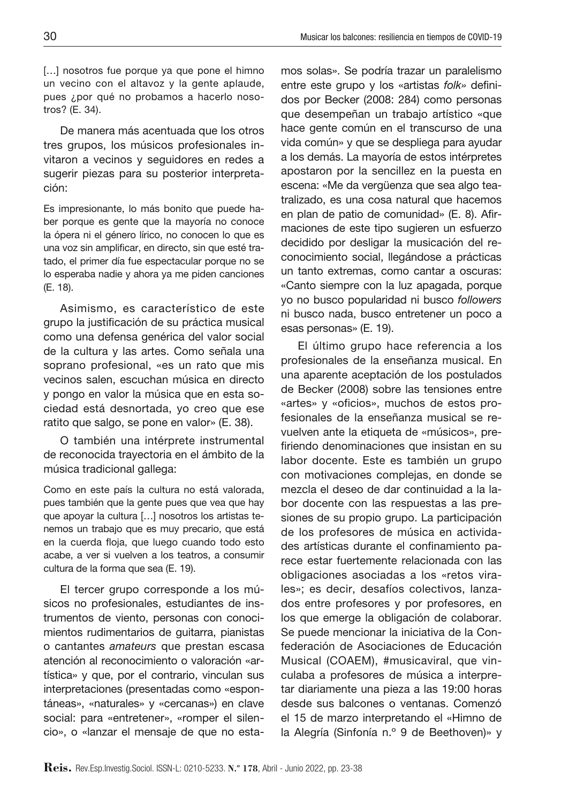[...] nosotros fue porque ya que pone el himno un vecino con el altavoz y la gente aplaude, pues ¿por qué no probamos a hacerlo nosotros? (E. 34).

De manera más acentuada que los otros tres grupos, los músicos profesionales invitaron a vecinos y seguidores en redes a sugerir piezas para su posterior interpretación:

Es impresionante, lo más bonito que puede haber porque es gente que la mayoría no conoce la ópera ni el género lírico, no conocen lo que es una voz sin amplificar, en directo, sin que esté tratado, el primer día fue espectacular porque no se lo esperaba nadie y ahora ya me piden canciones (E. 18).

Asimismo, es característico de este grupo la justificación de su práctica musical como una defensa genérica del valor social de la cultura y las artes. Como señala una soprano profesional, «es un rato que mis vecinos salen, escuchan música en directo y pongo en valor la música que en esta sociedad está desnortada, yo creo que ese ratito que salgo, se pone en valor» (E. 38).

O también una intérprete instrumental de reconocida trayectoria en el ámbito de la música tradicional gallega:

Como en este país la cultura no está valorada, pues también que la gente pues que vea que hay que apoyar la cultura […] nosotros los artistas tenemos un trabajo que es muy precario, que está en la cuerda floja, que luego cuando todo esto acabe, a ver si vuelven a los teatros, a consumir cultura de la forma que sea (E. 19).

El tercer grupo corresponde a los músicos no profesionales, estudiantes de instrumentos de viento, personas con conocimientos rudimentarios de guitarra, pianistas o cantantes *amateurs* que prestan escasa atención al reconocimiento o valoración «artística» y que, por el contrario, vinculan sus interpretaciones (presentadas como «espontáneas», «naturales» y «cercanas») en clave social: para «entretener», «romper el silencio», o «lanzar el mensaje de que no estamos solas». Se podría trazar un paralelismo entre este grupo y los «artistas *folk»* definidos por Becker (2008: 284) como personas que desempeñan un trabajo artístico «que hace gente común en el transcurso de una vida común» y que se despliega para ayudar a los demás. La mayoría de estos intérpretes apostaron por la sencillez en la puesta en escena: «Me da vergüenza que sea algo teatralizado, es una cosa natural que hacemos en plan de patio de comunidad» (E. 8). Afirmaciones de este tipo sugieren un esfuerzo decidido por desligar la musicación del reconocimiento social, llegándose a prácticas un tanto extremas, como cantar a oscuras: «Canto siempre con la luz apagada, porque yo no busco popularidad ni busco *followers* ni busco nada, busco entretener un poco a esas personas» (E. 19).

El último grupo hace referencia a los profesionales de la enseñanza musical. En una aparente aceptación de los postulados de Becker (2008) sobre las tensiones entre «artes» y «oficios», muchos de estos profesionales de la enseñanza musical se revuelven ante la etiqueta de «músicos», prefiriendo denominaciones que insistan en su labor docente. Este es también un grupo con motivaciones complejas, en donde se mezcla el deseo de dar continuidad a la labor docente con las respuestas a las presiones de su propio grupo. La participación de los profesores de música en actividades artísticas durante el confinamiento parece estar fuertemente relacionada con las obligaciones asociadas a los «retos virales»; es decir, desafíos colectivos, lanzados entre profesores y por profesores, en los que emerge la obligación de colaborar. Se puede mencionar la iniciativa de la Confederación de Asociaciones de Educación Musical (COAEM), #musicaviral, que vinculaba a profesores de música a interpretar diariamente una pieza a las 19:00 horas desde sus balcones o ventanas. Comenzó el 15 de marzo interpretando el «Himno de la Alegría (Sinfonía n.º 9 de Beethoven)» y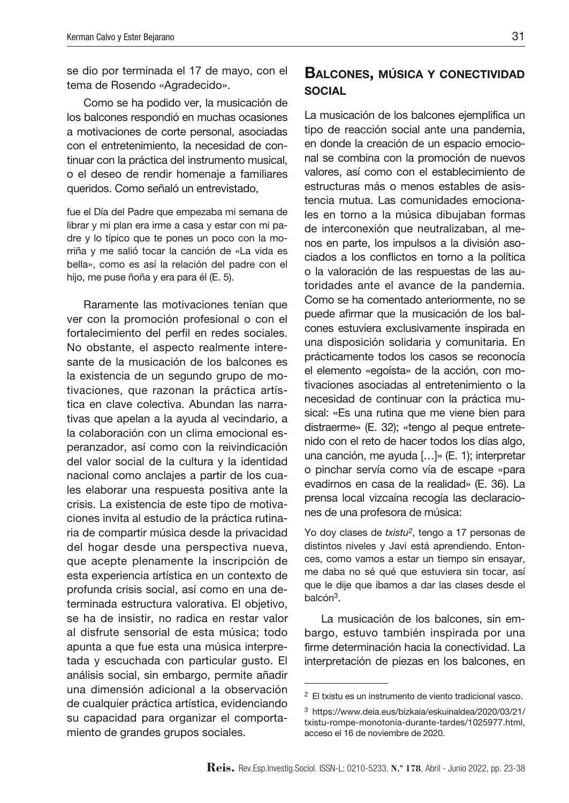se dio por terminada el 17 de mayo, con el tema de Rosendo «Agradecido».

Como se ha podido ver, la musicación de los balcones respondió en muchas ocasiones a motivaciones de corte personal, asociadas con el entretenimiento, la necesidad de continuar con la práctica del instrumento musical, o el deseo de rendir homenaje a familiares queridos. Como señaló un entrevistado,

fue el Día del Padre que empezaba mi semana de librar y mi plan era irme a casa y estar con mi padre y lo típico que te pones un poco con la morriña y me salió tocar la canción de «La vida es bella», como es así la relación del padre con el hijo, me puse ñoña y era para él (E. 5).

Raramente las motivaciones tenían que ver con la promoción profesional o con el fortalecimiento del perfil en redes sociales. No obstante, el aspecto realmente interesante de la musicación de los balcones es la existencia de un segundo grupo de motivaciones, que razonan la práctica artística en clave colectiva. Abundan las narrativas que apelan a la ayuda al vecindario, a la colaboración con un clima emocional esperanzador, así como con la reivindicación del valor social de la cultura y la identidad nacional como anclajes a partir de los cuales elaborar una respuesta positiva ante la crisis. La existencia de este tipo de motivaciones invita al estudio de la práctica rutinaria de compartir música desde la privacidad del hogar desde una perspectiva nueva, que acepte plenamente la inscripción de esta experiencia artística en un contexto de profunda crisis social, así como en una determinada estructura valorativa. El objetivo, se ha de insistir, no radica en restar valor al disfrute sensorial de esta música; todo apunta a que fue esta una música interpretada y escuchada con particular gusto. El análisis social, sin embargo, permite añadir una dimensión adicional a la observación de cualquier práctica artística, evidenciando su capacidad para organizar el comportamiento de grandes grupos sociales.

#### Balcones, música y conectividad social

La musicación de los balcones ejemplifica un tipo de reacción social ante una pandemia, en donde la creación de un espacio emocional se combina con la promoción de nuevos valores, así como con el establecimiento de estructuras más o menos estables de asistencia mutua. Las comunidades emocionales en torno a la música dibujaban formas de interconexión que neutralizaban, al menos en parte, los impulsos a la división asociados a los conflictos en torno a la política o la valoración de las respuestas de las autoridades ante el avance de la pandemia. Como se ha comentado anteriormente, no se puede afirmar que la musicación de los balcones estuviera exclusivamente inspirada en una disposición solidaria y comunitaria. En prácticamente todos los casos se reconocía el elemento «egoísta» de la acción, con motivaciones asociadas al entretenimiento o la necesidad de continuar con la práctica musical: «Es una rutina que me viene bien para distraerme» (E. 32); «tengo al peque entretenido con el reto de hacer todos los días algo, una canción, me ayuda […]» (E. 1); interpretar o pinchar servía como vía de escape «para evadirnos en casa de la realidad» (E. 36). La prensa local vizcaína recogía las declaraciones de una profesora de música:

Yo doy clases de *txistu2*, tengo a 17 personas de distintos niveles y Javi está aprendiendo. Entonces, como vamos a estar un tiempo sin ensayar, me daba no sé qué que estuviera sin tocar, así que le dije que íbamos a dar las clases desde el balcón3.

La musicación de los balcones, sin embargo, estuvo también inspirada por una firme determinación hacia la conectividad. La interpretación de piezas en los balcones, en

<sup>2</sup> El txistu es un instrumento de viento tradicional vasco.

<sup>3</sup> [https://www.deia.eus/bizkaia/eskuinaldea/2020/03/21/](https://www.deia.eus/bizkaia/eskuinaldea/2020/03/21/txistu-rompe-monotonia-durante-tardes/1025977.html) [txistu-rompe-monotonia-durante-tardes/1025977.html,](https://www.deia.eus/bizkaia/eskuinaldea/2020/03/21/txistu-rompe-monotonia-durante-tardes/1025977.html) acceso el 16 de noviembre de 2020.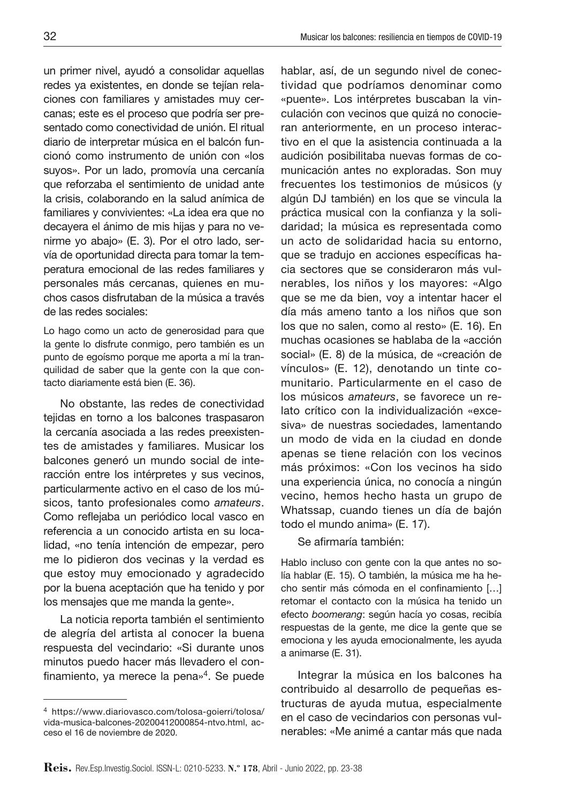un primer nivel, ayudó a consolidar aquellas redes ya existentes, en donde se tejían relaciones con familiares y amistades muy cercanas; este es el proceso que podría ser presentado como conectividad de unión. El ritual diario de interpretar música en el balcón funcionó como instrumento de unión con «los suyos». Por un lado, promovía una cercanía que reforzaba el sentimiento de unidad ante la crisis, colaborando en la salud anímica de familiares y convivientes: «La idea era que no decayera el ánimo de mis hijas y para no venirme yo abajo» (E. 3). Por el otro lado, servía de oportunidad directa para tomar la temperatura emocional de las redes familiares y personales más cercanas, quienes en muchos casos disfrutaban de la música a través de las redes sociales:

Lo hago como un acto de generosidad para que la gente lo disfrute conmigo, pero también es un punto de egoísmo porque me aporta a mí la tranquilidad de saber que la gente con la que contacto diariamente está bien (E. 36).

No obstante, las redes de conectividad tejidas en torno a los balcones traspasaron la cercanía asociada a las redes preexistentes de amistades y familiares. Musicar los balcones generó un mundo social de interacción entre los intérpretes y sus vecinos, particularmente activo en el caso de los músicos, tanto profesionales como *amateurs*. Como reflejaba un periódico local vasco en referencia a un conocido artista en su localidad, «no tenía intención de empezar, pero me lo pidieron dos vecinas y la verdad es que estoy muy emocionado y agradecido por la buena aceptación que ha tenido y por los mensajes que me manda la gente».

La noticia reporta también el sentimiento de alegría del artista al conocer la buena respuesta del vecindario: «Si durante unos minutos puedo hacer más llevadero el confinamiento, ya merece la pena»4. Se puede

hablar, así, de un segundo nivel de conectividad que podríamos denominar como «puente». Los intérpretes buscaban la vinculación con vecinos que quizá no conocieran anteriormente, en un proceso interactivo en el que la asistencia continuada a la audición posibilitaba nuevas formas de comunicación antes no exploradas. Son muy frecuentes los testimonios de músicos (y algún DJ también) en los que se vincula la práctica musical con la confianza y la solidaridad; la música es representada como un acto de solidaridad hacia su entorno, que se tradujo en acciones específicas hacia sectores que se consideraron más vulnerables, los niños y los mayores: «Algo que se me da bien, voy a intentar hacer el día más ameno tanto a los niños que son los que no salen, como al resto» (E. 16). En muchas ocasiones se hablaba de la «acción social» (E. 8) de la música, de «creación de vínculos» (E. 12), denotando un tinte comunitario. Particularmente en el caso de los músicos *amateurs*, se favorece un relato crítico con la individualización «excesiva» de nuestras sociedades, lamentando un modo de vida en la ciudad en donde apenas se tiene relación con los vecinos más próximos: «Con los vecinos ha sido una experiencia única, no conocía a ningún vecino, hemos hecho hasta un grupo de Whatssap, cuando tienes un día de bajón todo el mundo anima» (E. 17).

Se afirmaría también:

Hablo incluso con gente con la que antes no solía hablar (E. 15). O también, la música me ha hecho sentir más cómoda en el confinamiento […] retomar el contacto con la música ha tenido un efecto *boomerang*: según hacía yo cosas, recibía respuestas de la gente, me dice la gente que se emociona y les ayuda emocionalmente, les ayuda a animarse (E. 31).

Integrar la música en los balcones ha contribuido al desarrollo de pequeñas estructuras de ayuda mutua, especialmente en el caso de vecindarios con personas vulnerables: «Me animé a cantar más que nada

<sup>4</sup> [https://www.diariovasco.com/tolosa-goierri/tolosa/](https://www.diariovasco.com/tolosa-goierri/tolosa/vida-musica-balcones-20200412000854-ntvo.html) [vida-musica-balcones-20200412000854-ntvo.html,](https://www.diariovasco.com/tolosa-goierri/tolosa/vida-musica-balcones-20200412000854-ntvo.html) acceso el 16 de noviembre de 2020.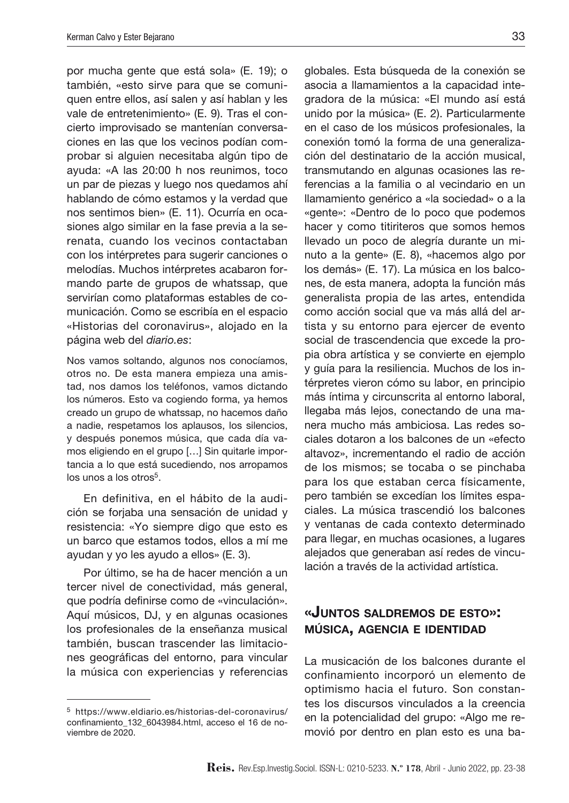por mucha gente que está sola» (E. 19); o también, «esto sirve para que se comuniquen entre ellos, así salen y así hablan y les vale de entretenimiento» (E. 9). Tras el concierto improvisado se mantenían conversaciones en las que los vecinos podían comprobar si alguien necesitaba algún tipo de ayuda: «A las 20:00 h nos reunimos, toco un par de piezas y luego nos quedamos ahí hablando de cómo estamos y la verdad que nos sentimos bien» (E. 11). Ocurría en ocasiones algo similar en la fase previa a la serenata, cuando los vecinos contactaban con los intérpretes para sugerir canciones o melodías. Muchos intérpretes acabaron formando parte de grupos de whatssap, que servirían como plataformas estables de comunicación. Como se escribía en el espacio «Historias del coronavirus», alojado en la página web del *diario.es*:

Nos vamos soltando, algunos nos conocíamos, otros no. De esta manera empieza una amistad, nos damos los teléfonos, vamos dictando los números. Esto va cogiendo forma, ya hemos creado un grupo de whatssap, no hacemos daño a nadie, respetamos los aplausos, los silencios, y después ponemos música, que cada día vamos eligiendo en el grupo […] Sin quitarle importancia a lo que está sucediendo, nos arropamos los unos a los otros<sup>5</sup>.

En definitiva, en el hábito de la audición se forjaba una sensación de unidad y resistencia: «Yo siempre digo que esto es un barco que estamos todos, ellos a mí me ayudan y yo les ayudo a ellos» (E. 3).

Por último, se ha de hacer mención a un tercer nivel de conectividad, más general, que podría definirse como de «vinculación». Aquí músicos, DJ, y en algunas ocasiones los profesionales de la enseñanza musical también, buscan trascender las limitaciones geográficas del entorno, para vincular la música con experiencias y referencias

globales. Esta búsqueda de la conexión se asocia a llamamientos a la capacidad integradora de la música: «El mundo así está unido por la música» (E. 2). Particularmente en el caso de los músicos profesionales, la conexión tomó la forma de una generalización del destinatario de la acción musical, transmutando en algunas ocasiones las referencias a la familia o al vecindario en un llamamiento genérico a «la sociedad» o a la «gente»: «Dentro de lo poco que podemos hacer y como titiriteros que somos hemos llevado un poco de alegría durante un minuto a la gente» (E. 8), «hacemos algo por los demás» (E. 17). La música en los balcones, de esta manera, adopta la función más generalista propia de las artes, entendida como acción social que va más allá del artista y su entorno para ejercer de evento social de trascendencia que excede la propia obra artística y se convierte en ejemplo y guía para la resiliencia. Muchos de los intérpretes vieron cómo su labor, en principio más íntima y circunscrita al entorno laboral, llegaba más lejos, conectando de una manera mucho más ambiciosa. Las redes sociales dotaron a los balcones de un «efecto altavoz», incrementando el radio de acción de los mismos; se tocaba o se pinchaba para los que estaban cerca físicamente, pero también se excedían los límites espaciales. La música trascendió los balcones y ventanas de cada contexto determinado para llegar, en muchas ocasiones, a lugares alejados que generaban así redes de vinculación a través de la actividad artística.

## «Juntos saldremos de esto»: música, agencia <sup>e</sup> identidad

La musicación de los balcones durante el confinamiento incorporó un elemento de optimismo hacia el futuro. Son constantes los discursos vinculados a la creencia en la potencialidad del grupo: «Algo me removió por dentro en plan esto es una ba-

<sup>5</sup> [https://www.eldiario.es/historias-del-coronavirus/](https://www.eldiario.es/historias-del-coronavirus/confinamiento_132_6043984.html) [confinamiento\\_132\\_6043984.html](https://www.eldiario.es/historias-del-coronavirus/confinamiento_132_6043984.html), acceso el 16 de noviembre de 2020.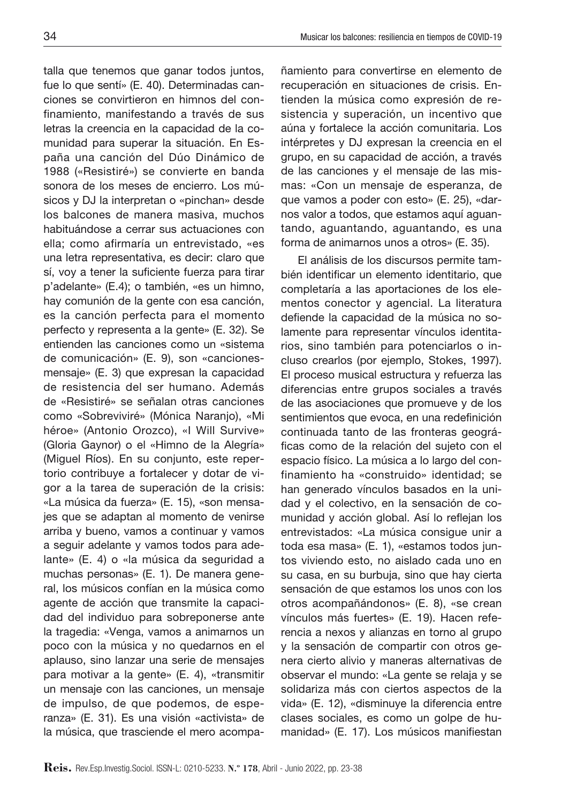talla que tenemos que ganar todos juntos, fue lo que sentí» (E. 40). Determinadas canciones se convirtieron en himnos del confinamiento, manifestando a través de sus letras la creencia en la capacidad de la comunidad para superar la situación. En España una canción del Dúo Dinámico de 1988 («Resistiré») se convierte en banda sonora de los meses de encierro. Los músicos y DJ la interpretan o «pinchan» desde los balcones de manera masiva, muchos habituándose a cerrar sus actuaciones con ella; como afirmaría un entrevistado, «es una letra representativa, es decir: claro que sí, voy a tener la suficiente fuerza para tirar p'adelante» (E.4); o también, «es un himno, hay comunión de la gente con esa canción, es la canción perfecta para el momento perfecto y representa a la gente» (E. 32). Se entienden las canciones como un «sistema de comunicación» (E. 9), son «cancionesmensaje» (E. 3) que expresan la capacidad de resistencia del ser humano. Además de «Resistiré» se señalan otras canciones como «Sobreviviré» (Mónica Naranjo), «Mi héroe» (Antonio Orozco), «I Will Survive» (Gloria Gaynor) o el «Himno de la Alegría» (Miguel Ríos). En su conjunto, este repertorio contribuye a fortalecer y dotar de vigor a la tarea de superación de la crisis: «La música da fuerza» (E. 15), «son mensajes que se adaptan al momento de venirse arriba y bueno, vamos a continuar y vamos a seguir adelante y vamos todos para adelante» (E. 4) o «la música da seguridad a muchas personas» (E. 1). De manera general, los músicos confían en la música como agente de acción que transmite la capacidad del individuo para sobreponerse ante la tragedia: «Venga, vamos a animarnos un poco con la música y no quedarnos en el aplauso, sino lanzar una serie de mensajes para motivar a la gente» (E. 4), «transmitir un mensaje con las canciones, un mensaje de impulso, de que podemos, de esperanza» (E. 31). Es una visión «activista» de la música, que trasciende el mero acompañamiento para convertirse en elemento de recuperación en situaciones de crisis. Entienden la música como expresión de resistencia y superación, un incentivo que aúna y fortalece la acción comunitaria. Los intérpretes y DJ expresan la creencia en el grupo, en su capacidad de acción, a través de las canciones y el mensaje de las mismas: «Con un mensaje de esperanza, de que vamos a poder con esto» (E. 25), «darnos valor a todos, que estamos aquí aguantando, aguantando, aguantando, es una forma de animarnos unos a otros» (E. 35).

El análisis de los discursos permite también identificar un elemento identitario, que completaría a las aportaciones de los elementos conector y agencial. La literatura defiende la capacidad de la música no solamente para representar vínculos identitarios, sino también para potenciarlos o incluso crearlos (por ejemplo, Stokes, 1997). El proceso musical estructura y refuerza las diferencias entre grupos sociales a través de las asociaciones que promueve y de los sentimientos que evoca, en una redefinición continuada tanto de las fronteras geográficas como de la relación del sujeto con el espacio físico. La música a lo largo del confinamiento ha «construido» identidad; se han generado vínculos basados en la unidad y el colectivo, en la sensación de comunidad y acción global. Así lo reflejan los entrevistados: «La música consigue unir a toda esa masa» (E. 1), «estamos todos juntos viviendo esto, no aislado cada uno en su casa, en su burbuja, sino que hay cierta sensación de que estamos los unos con los otros acompañándonos» (E. 8), «se crean vínculos más fuertes» (E. 19). Hacen referencia a nexos y alianzas en torno al grupo y la sensación de compartir con otros genera cierto alivio y maneras alternativas de observar el mundo: «La gente se relaja y se solidariza más con ciertos aspectos de la vida» (E. 12), «disminuye la diferencia entre clases sociales, es como un golpe de humanidad» (E. 17). Los músicos manifiestan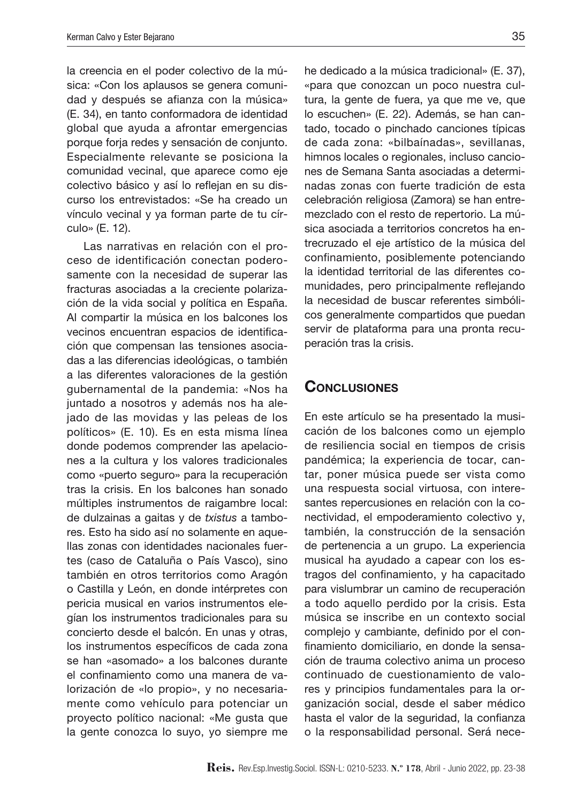la creencia en el poder colectivo de la música: «Con los aplausos se genera comunidad y después se afianza con la música» (E. 34), en tanto conformadora de identidad global que ayuda a afrontar emergencias porque forja redes y sensación de conjunto. Especialmente relevante se posiciona la comunidad vecinal, que aparece como eje colectivo básico y así lo reflejan en su discurso los entrevistados: «Se ha creado un vínculo vecinal y ya forman parte de tu círculo» (E. 12).

Las narrativas en relación con el proceso de identificación conectan poderosamente con la necesidad de superar las fracturas asociadas a la creciente polarización de la vida social y política en España. Al compartir la música en los balcones los vecinos encuentran espacios de identificación que compensan las tensiones asociadas a las diferencias ideológicas, o también a las diferentes valoraciones de la gestión gubernamental de la pandemia: «Nos ha juntado a nosotros y además nos ha alejado de las movidas y las peleas de los políticos» (E. 10). Es en esta misma línea donde podemos comprender las apelaciones a la cultura y los valores tradicionales como «puerto seguro» para la recuperación tras la crisis. En los balcones han sonado múltiples instrumentos de raigambre local: de dulzainas a gaitas y de *txistus* a tambores. Esto ha sido así no solamente en aquellas zonas con identidades nacionales fuertes (caso de Cataluña o País Vasco), sino también en otros territorios como Aragón o Castilla y León, en donde intérpretes con pericia musical en varios instrumentos elegían los instrumentos tradicionales para su concierto desde el balcón. En unas y otras, los instrumentos específicos de cada zona se han «asomado» a los balcones durante el confinamiento como una manera de valorización de «lo propio», y no necesariamente como vehículo para potenciar un proyecto político nacional: «Me gusta que la gente conozca lo suyo, yo siempre me

he dedicado a la música tradicional» (E. 37), «para que conozcan un poco nuestra cultura, la gente de fuera, ya que me ve, que lo escuchen» (E. 22). Además, se han cantado, tocado o pinchado canciones típicas de cada zona: «bilbaínadas», sevillanas, himnos locales o regionales, incluso canciones de Semana Santa asociadas a determinadas zonas con fuerte tradición de esta celebración religiosa (Zamora) se han entremezclado con el resto de repertorio. La música asociada a territorios concretos ha entrecruzado el eje artístico de la música del confinamiento, posiblemente potenciando la identidad territorial de las diferentes comunidades, pero principalmente reflejando la necesidad de buscar referentes simbólicos generalmente compartidos que puedan servir de plataforma para una pronta recuperación tras la crisis.

### **CONCLUSIONES**

En este artículo se ha presentado la musicación de los balcones como un ejemplo de resiliencia social en tiempos de crisis pandémica; la experiencia de tocar, cantar, poner música puede ser vista como una respuesta social virtuosa, con interesantes repercusiones en relación con la conectividad, el empoderamiento colectivo y, también, la construcción de la sensación de pertenencia a un grupo. La experiencia musical ha ayudado a capear con los estragos del confinamiento, y ha capacitado para vislumbrar un camino de recuperación a todo aquello perdido por la crisis. Esta música se inscribe en un contexto social complejo y cambiante, definido por el confinamiento domiciliario, en donde la sensación de trauma colectivo anima un proceso continuado de cuestionamiento de valores y principios fundamentales para la organización social, desde el saber médico hasta el valor de la seguridad, la confianza o la responsabilidad personal. Será nece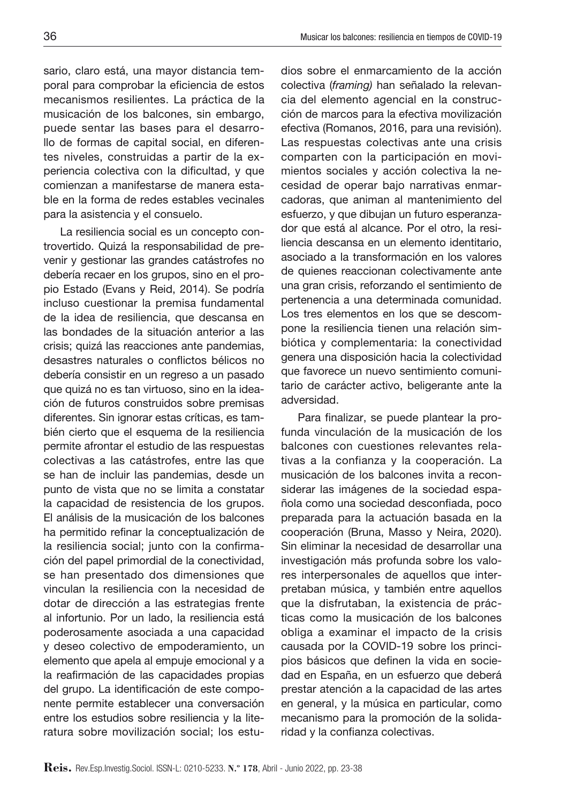sario, claro está, una mayor distancia temporal para comprobar la eficiencia de estos mecanismos resilientes. La práctica de la musicación de los balcones, sin embargo, puede sentar las bases para el desarrollo de formas de capital social, en diferentes niveles, construidas a partir de la experiencia colectiva con la dificultad, y que comienzan a manifestarse de manera estable en la forma de redes estables vecinales para la asistencia y el consuelo.

La resiliencia social es un concepto controvertido. Quizá la responsabilidad de prevenir y gestionar las grandes catástrofes no debería recaer en los grupos, sino en el propio Estado (Evans y Reid, 2014). Se podría incluso cuestionar la premisa fundamental de la idea de resiliencia, que descansa en las bondades de la situación anterior a las crisis; quizá las reacciones ante pandemias, desastres naturales o conflictos bélicos no debería consistir en un regreso a un pasado que quizá no es tan virtuoso, sino en la ideación de futuros construidos sobre premisas diferentes. Sin ignorar estas críticas, es también cierto que el esquema de la resiliencia permite afrontar el estudio de las respuestas colectivas a las catástrofes, entre las que se han de incluir las pandemias, desde un punto de vista que no se limita a constatar la capacidad de resistencia de los grupos. El análisis de la musicación de los balcones ha permitido refinar la conceptualización de la resiliencia social; junto con la confirmación del papel primordial de la conectividad, se han presentado dos dimensiones que vinculan la resiliencia con la necesidad de dotar de dirección a las estrategias frente al infortunio. Por un lado, la resiliencia está poderosamente asociada a una capacidad y deseo colectivo de empoderamiento, un elemento que apela al empuje emocional y a la reafirmación de las capacidades propias del grupo. La identificación de este componente permite establecer una conversación entre los estudios sobre resiliencia y la literatura sobre movilización social; los estudios sobre el enmarcamiento de la acción colectiva (*framing)* han señalado la relevancia del elemento agencial en la construcción de marcos para la efectiva movilización efectiva (Romanos, 2016, para una revisión). Las respuestas colectivas ante una crisis comparten con la participación en movimientos sociales y acción colectiva la necesidad de operar bajo narrativas enmarcadoras, que animan al mantenimiento del esfuerzo, y que dibujan un futuro esperanzador que está al alcance. Por el otro, la resiliencia descansa en un elemento identitario, asociado a la transformación en los valores de quienes reaccionan colectivamente ante una gran crisis, reforzando el sentimiento de pertenencia a una determinada comunidad. Los tres elementos en los que se descompone la resiliencia tienen una relación simbiótica y complementaria: la conectividad genera una disposición hacia la colectividad que favorece un nuevo sentimiento comunitario de carácter activo, beligerante ante la adversidad.

Para finalizar, se puede plantear la profunda vinculación de la musicación de los balcones con cuestiones relevantes relativas a la confianza y la cooperación. La musicación de los balcones invita a reconsiderar las imágenes de la sociedad española como una sociedad desconfiada, poco preparada para la actuación basada en la cooperación (Bruna, Masso y Neira, 2020). Sin eliminar la necesidad de desarrollar una investigación más profunda sobre los valores interpersonales de aquellos que interpretaban música, y también entre aquellos que la disfrutaban, la existencia de prácticas como la musicación de los balcones obliga a examinar el impacto de la crisis causada por la COVID-19 sobre los principios básicos que definen la vida en sociedad en España, en un esfuerzo que deberá prestar atención a la capacidad de las artes en general, y la música en particular, como mecanismo para la promoción de la solidaridad y la confianza colectivas.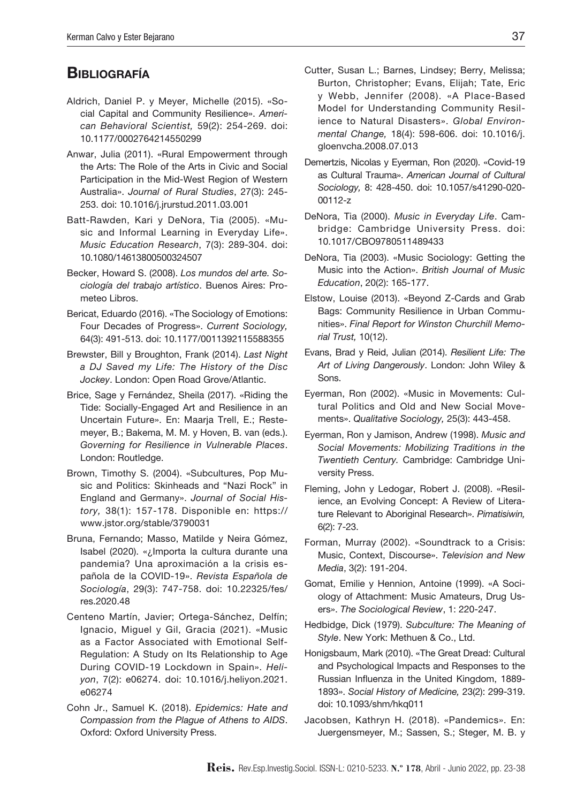# **BIBLIOGRAFÍA**

- Aldrich, Daniel P. y Meyer, Michelle (2015). «Social Capital and Community Resilience». *American Behavioral Scientist,* 59(2): 254-269. doi: 10.1177/0002764214550299
- Anwar, Julia (2011). «Rural Empowerment through the Arts: The Role of the Arts in Civic and Social Participation in the Mid-West Region of Western Australia». *Journal of Rural Studies*, 27(3): 245- 253. doi: 10.1016/j.jrurstud.2011.03.001
- Batt-Rawden, Kari y DeNora, Tia (2005). «Music and Informal Learning in Everyday Life». *Music Education Research*, 7(3): 289-304. [doi:](https://doi.org/10.1080/14613800500324507)  [10.1080/14613800500324507](https://doi.org/10.1080/14613800500324507)
- Becker, Howard S. (2008). *Los mundos del arte. Sociología del trabajo artístico*. Buenos Aires: Prometeo Libros.
- Bericat, Eduardo (2016). «The Sociology of Emotions: Four Decades of Progress». *Current Sociology,*  64(3): 491-513. doi: 10.1177/0011392115588355
- Brewster, Bill y Broughton, Frank (2014). *Last Night a DJ Saved my Life: The History of the Disc Jockey*. London: Open Road Grove/Atlantic.
- Brice, Sage y Fernández, Sheila (2017). «Riding the Tide: Socially-Engaged Art and Resilience in an Uncertain Future». En: Maarja Trell, E.; Restemeyer, B.; Bakema, M. M. y Hoven, B. van (eds.). *Governing for Resilience in Vulnerable Places*. London: Routledge.
- Brown, Timothy S. (2004). «Subcultures, Pop Music and Politics: Skinheads and "Nazi Rock" in England and Germany». *Journal of Social History,* 38(1): 157-178. Disponible en: https:// www.jstor.org/stable/3790031
- Bruna, Fernando; Masso, Matilde y Neira Gómez, Isabel (2020). «¿Importa la cultura durante una pandemia? Una aproximación a la crisis española de la COVID-19». *Revista Española de Sociología*, 29(3): 747-758. doi: 10.22325/fes/ res.2020.48
- Centeno Martín, Javier; Ortega-Sánchez, Delfín; Ignacio, Miguel y Gil, Gracia (2021). «Music as a Factor Associated with Emotional Self-Regulation: A Study on Its Relationship to Age During COVID-19 Lockdown in Spain». *Heliyon*, 7(2): e06274. [doi: 10.1016/j.heliyon.2021.](https://doi.org/10.1016/j.heliyon.2021.e06274) [e06274](https://doi.org/10.1016/j.heliyon.2021.e06274)
- Cohn Jr., Samuel K. (2018). *Epidemics: Hate and Compassion from the Plague of Athens to AIDS*. Oxford: Oxford University Press.
- Cutter, Susan L.; Barnes, Lindsey; Berry, Melissa; Burton, Christopher; Evans, Elijah; Tate, Eric y Webb, Jennifer (2008). «A Place-Based Model for Understanding Community Resilience to Natural Disasters». *Global Environmental Change,* 18(4): 598-606. doi: 10.1016/j. gloenvcha.2008.07.013
- Demertzis, Nicolas y Eyerman, Ron (2020). «Covid-19 as Cultural Trauma». *American Journal of Cultural Sociology,* 8: 428-450. doi: 10.1057/s41290-020- 00112-z
- DeNora, Tia (2000). *Music in Everyday Life*. Cambridge: Cambridge University Press. doi: 10.1017/CBO9780511489433
- DeNora, Tia (2003). «Music Sociology: Getting the Music into the Action». *British Journal of Music Education*, 20(2): 165-177.
- Elstow, Louise (2013). «Beyond Z-Cards and Grab Bags: Community Resilience in Urban Communities». *Final Report for Winston Churchill Memorial Trust,* 10(12).
- Evans, Brad y Reid, Julian (2014). *Resilient Life: The Art of Living Dangerously*. London: John Wiley & Sons.
- Eyerman, Ron (2002). «Music in Movements: Cultural Politics and Old and New Social Movements». *Qualitative Sociology,* 25(3): 443-458.
- Eyerman, Ron y Jamison, Andrew (1998). *Music and Social Movements: Mobilizing Traditions in the Twentieth Century.* Cambridge: Cambridge University Press.
- Fleming, John y Ledogar, Robert J. (2008). «Resilience, an Evolving Concept: A Review of Literature Relevant to Aboriginal Research». *Pimatisiwin,*  6(2): 7-23.
- Forman, Murray (2002). «Soundtrack to a Crisis: Music, Context, Discourse». *Television and New Media*, 3(2): 191-204.
- Gomat, Emilie y Hennion, Antoine (1999). «A Sociology of Attachment: Music Amateurs, Drug Users». *The Sociological Review*, 1: 220-247.
- Hedbidge, Dick (1979). *Subculture: The Meaning of Style*. New York: Methuen & Co., Ltd.
- Honigsbaum, Mark (2010). «The Great Dread: Cultural and Psychological Impacts and Responses to the Russian Influenza in the United Kingdom, 1889- 1893». *Social History of Medicine,* 23(2): 299-319. doi: 10.1093/shm/hkq011
- Jacobsen, Kathryn H. (2018). «Pandemics». En: Juergensmeyer, M.; Sassen, S.; Steger, M. B. y